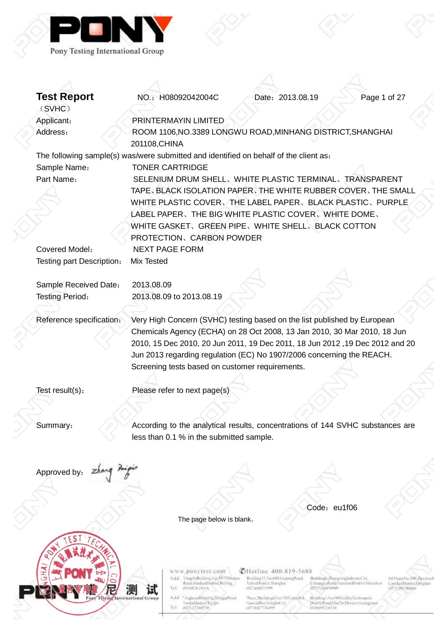

| <b>Test Report</b>        | NO.: H08092042004C                                                                                   |                                    | Date: 2013.08.19                                         |                                                                          | Page 1 of 27                              |
|---------------------------|------------------------------------------------------------------------------------------------------|------------------------------------|----------------------------------------------------------|--------------------------------------------------------------------------|-------------------------------------------|
| (SVHC)                    |                                                                                                      |                                    |                                                          |                                                                          |                                           |
| Applicant:                | PRINTERMAYIN LIMITED                                                                                 |                                    |                                                          |                                                                          |                                           |
| Address:                  | ROOM 1106, NO.3389 LONGWU ROAD, MINHANG DISTRICT, SHANGHAI                                           |                                    |                                                          |                                                                          |                                           |
|                           | 201108, CHINA                                                                                        |                                    |                                                          |                                                                          |                                           |
|                           | The following sample(s) was/were submitted and identified on behalf of the client as:                |                                    |                                                          |                                                                          |                                           |
| Sample Name:              | <b>TONER CARTRIDGE</b>                                                                               |                                    |                                                          |                                                                          |                                           |
| Part Name:                | SELENIUM DRUM SHELL, WHITE PLASTIC TERMINAL, TRANSPARENT                                             |                                    |                                                          |                                                                          |                                           |
|                           | TAPE, BLACK ISOLATION PAPER, THE WHITE RUBBER COVER, THE SMALL                                       |                                    |                                                          |                                                                          |                                           |
|                           | WHITE PLASTIC COVER, THE LABEL PAPER, BLACK PLASTIC, PURPLE                                          |                                    |                                                          |                                                                          |                                           |
|                           | LABEL PAPER, THE BIG WHITE PLASTIC COVER, WHITE DOME,                                                |                                    |                                                          |                                                                          |                                           |
|                           | WHITE GASKET, GREEN PIPE, WHITE SHELL, BLACK COTTON                                                  |                                    |                                                          |                                                                          |                                           |
|                           | PROTECTION, CARBON POWDER                                                                            |                                    |                                                          |                                                                          |                                           |
| Covered Model:            | <b>NEXT PAGE FORM</b>                                                                                |                                    |                                                          |                                                                          |                                           |
| Testing part Description: | Mix Tested                                                                                           |                                    |                                                          |                                                                          |                                           |
|                           |                                                                                                      |                                    |                                                          |                                                                          |                                           |
| Sample Received Date:     | 2013.08.09                                                                                           |                                    |                                                          |                                                                          |                                           |
| <b>Testing Period:</b>    | 2013.08.09 to 2013.08.19                                                                             |                                    |                                                          |                                                                          |                                           |
|                           |                                                                                                      |                                    |                                                          |                                                                          |                                           |
| Reference specification:  | Very High Concern (SVHC) testing based on the list published by European                             |                                    |                                                          |                                                                          |                                           |
|                           | Chemicals Agency (ECHA) on 28 Oct 2008, 13 Jan 2010, 30 Mar 2010, 18 Jun                             |                                    |                                                          |                                                                          |                                           |
|                           | 2010, 15 Dec 2010, 20 Jun 2011, 19 Dec 2011, 18 Jun 2012, 19 Dec 2012 and 20                         |                                    |                                                          |                                                                          |                                           |
|                           | Jun 2013 regarding regulation (EC) No 1907/2006 concerning the REACH.                                |                                    |                                                          |                                                                          |                                           |
|                           | Screening tests based on customer requirements.                                                      |                                    |                                                          |                                                                          |                                           |
|                           |                                                                                                      |                                    |                                                          |                                                                          |                                           |
| Test result(s):           | Please refer to next page(s)                                                                         |                                    |                                                          |                                                                          |                                           |
|                           |                                                                                                      |                                    |                                                          |                                                                          |                                           |
|                           |                                                                                                      |                                    |                                                          |                                                                          |                                           |
| Summary:                  | According to the analytical results, concentrations of 144 SVHC substances are                       |                                    |                                                          |                                                                          |                                           |
|                           | less than 0.1 % in the submitted sample.                                                             |                                    |                                                          |                                                                          |                                           |
|                           |                                                                                                      |                                    |                                                          |                                                                          |                                           |
|                           |                                                                                                      |                                    |                                                          |                                                                          |                                           |
| Approved by:              |                                                                                                      |                                    |                                                          |                                                                          |                                           |
|                           |                                                                                                      |                                    |                                                          |                                                                          |                                           |
|                           |                                                                                                      |                                    |                                                          |                                                                          |                                           |
|                           |                                                                                                      |                                    |                                                          | Code: eu1f06                                                             |                                           |
|                           |                                                                                                      | The page below is blank.           |                                                          |                                                                          |                                           |
|                           |                                                                                                      |                                    |                                                          |                                                                          |                                           |
|                           |                                                                                                      |                                    |                                                          |                                                                          |                                           |
|                           |                                                                                                      |                                    |                                                          |                                                                          |                                           |
|                           |                                                                                                      |                                    |                                                          |                                                                          |                                           |
|                           | www.ponytest.com                                                                                     | Add: YmgzhiBoskling No.49-3596/nou | CHotline 400-819-5688<br>Building 55 No.680 GuipingRoad. | Building6.ZhongxingIndustryCity,                                         | 601 loopNo: 190, Zhuzhou!                 |
|                           | Tel:<br>01062618116                                                                                  | Road HaidianDistrict Belling       | Xulta@istrict.Shanghai<br>(021)(4851999                  | ChuangyeRoad/NanshanDistrict/Sherizhen<br>(0735)2MP0909                  | LaushanDistrict/Omgdao<br>(IS32383706866) |
|                           | A dal: YinghuanBuilding.HongqiRoad,<br><b>Resting International Group</b><br>Nanknidistrict. Tranjur |                                    | Phase Hunding4, No150XinhinRd.<br>GaoxinDist,NingboCity  | Building3, No 1891 JuiZhu Technopark,<br>DinHeRoadHaZh(DistrictUningzhou |                                           |
|                           | Tel (022127360730)                                                                                   |                                    | (0574)87736499                                           | (020)89224310                                                            |                                           |
|                           |                                                                                                      |                                    |                                                          |                                                                          |                                           |

Q)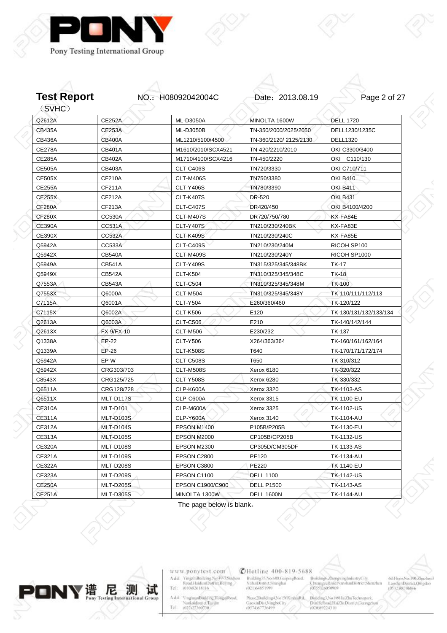



Z

| Q2612A        | <b>CE252A</b>    | <b>ML-D3050A</b>   | MINOLTA 1600W         | <b>DELL 1720</b>       |
|---------------|------------------|--------------------|-----------------------|------------------------|
| <b>CB435A</b> | <b>CE253A</b>    | <b>ML-D3050B</b>   | TN-350/2000/2025/2050 | DELL1230/1235C         |
| <b>CB436A</b> | <b>CB400A</b>    | ML1210/5100/4500   | TN-360/2120/2125/2130 | <b>DELL1320</b>        |
| <b>CE278A</b> | <b>CB401A</b>    | M1610/2010/SCX4521 | TN-420/2210/2010      | OKI C3300/3400         |
| <b>CE285A</b> | <b>CB402A</b>    | M1710/4100/SCX4216 | TN-450/2220           | OKI C110/130           |
| <b>CE505A</b> | CB403A           | <b>CLT-C406S</b>   | TN720/3330            | OKI C710/711           |
| <b>CE505X</b> | CF210A           | CLT-M406S          | TN750/3380            | <b>OKI B410</b>        |
| <b>CE255A</b> | CF211A           | <b>CLT-Y406S</b>   | TN780/3390            | <b>OKI B411</b>        |
| <b>CE255X</b> | CF212A           | <b>CLT-K407S</b>   | DR-520                | <b>OKI B431</b>        |
| <b>CF280A</b> | CF213A           | <b>CLT-C407S</b>   | DR420/450             | OKI B4100/4200         |
| <b>CF280X</b> | <b>CC530A</b>    | <b>CLT-M407S</b>   | DR720/750/780         | KX-FA84E               |
| <b>CE390A</b> | CC531A           | <b>CLT-Y407S</b>   | TN210/230/240BK       | KX-FA83E               |
| <b>CE390X</b> | <b>CC532A</b>    | <b>CLT-K409S</b>   | TN210/230/240C        | KX-FA85E               |
| Q5942A        | <b>CC533A</b>    | <b>CLT-C409S</b>   | TN210/230/240M        | RICOH SP100            |
| Q5942X        | <b>CB540A</b>    | <b>CLT-M409S</b>   | TN210/230/240Y        | RICOH SP1000           |
| Q5949A        | CB541A           | <b>CLT-Y409S</b>   | TN315/325/345/348BK   | <b>TK-17</b>           |
| Q5949X        | <b>CB542A</b>    | <b>CLT-K504</b>    | TN310/325/345/348C    | <b>TK-18</b>           |
| Q7553A        | CB543A           | <b>CLT-C504</b>    | TN310/325/345/348M    | <b>TK-100</b>          |
| Q7553X        | Q6000A           | <b>CLT-M504</b>    | TN310/325/345/348Y    | TK-110/111/112/113     |
| C7115A        | Q6001A           | <b>CLT-Y504</b>    | E260/360/460          | TK-120/122             |
| C7115X        | Q6002A           | <b>CLT-K506</b>    | E120                  | TK-130/131/132/133/134 |
| Q2613A        | Q6003A           | <b>CLT-C506</b>    | E210                  | TK-140/142/144         |
| Q2613X        | FX-9/FX-10       | <b>CLT-M506</b>    | E230/232              | <b>TK-137</b>          |
| Q1338A        | EP-22            | <b>CLT-Y506</b>    | X264/363/364          | TK-160/161/162/164     |
| Q1339A        | $EP-26$          | <b>CLT-K508S</b>   | T640                  | TK-170/171/172/174     |
| Q5942A        | EP-W             | <b>CLT-C508S</b>   | T650                  | TK-310/312             |
| Q5942X        | CRG303/703       | <b>CLT-M508S</b>   | Xerox 6180            | TK-320/322             |
| C8543X        | CRG125/725       | <b>CLT-Y508S</b>   | Xerox 6280            | TK-330/332             |
| Q6511A        | CRG128/728       | <b>CLP-K600A</b>   | Xerox 3320            | <b>TK-1103-AS</b>      |
| Q6511X        | MLT-D117S        | CLP-C600A          | Xerox 3315            | <b>TK-1100-EU</b>      |
| <b>CE310A</b> | <b>MLT-D101</b>  | CLP-M600A          | Xerox 3325            | TK-1102-US             |
| <b>CE311A</b> | <b>MLT-D103S</b> | <b>CLP-Y600A</b>   | Xerox 3140            | TK-1104-AU             |
| <b>CE312A</b> | <b>MLT-D104S</b> | EPSON M1400        | P105B/P205B           | TK-1130-EU             |
| <b>CE313A</b> | <b>MLT-D105S</b> | EPSON M2000        | CP105B/CP205B         | <b>TK-1132-US</b>      |
| <b>CE320A</b> | MLT-D108S        | EPSON M2300        | CP305D/CM305DF        | TK-1133-AS             |
| CE321A        | MLT-D109S        | EPSON C2800        | PE120                 | TK-1134-AU             |
| <b>CE322A</b> | MLT-D208S        | EPSON C3800        | PE220                 | TK-1140-EU             |
| <b>CE323A</b> | <b>MLT-D209S</b> | EPSON C1100        | <b>DELL 1100</b>      | <b>TK-1142-US</b>      |
| <b>CE250A</b> | MLT-D205S        | EPSON C1900/C900   | <b>DELL P1500</b>     | TK-1143-AS             |
| <b>CE251A</b> | <b>MLT-D305S</b> | MINOLTA 1300W      | <b>DELL 1600N</b>     | <b>TK-1144-AU</b>      |

The page below is blank。



www.ponytest.com  $\begin{tabular}{l|c} Add:~YingphBokling Na 49-78004000\\ \hline \textbf{Rood} HamiltonDiffint, Berlin & \\ Tel: & 010082618116 \\ \end{tabular}$ 

Add: YinghuanBhilding,HongqiRood<br>| Nanknidistrici Tuzijin<br>|Tel | 002127360730

### **@Hotline 400-819-5688**

Building35.No.680.GrapingBoad.<br>XultaiDismict.Shanghai<br>(021)64851599

Broldings ZhongxingIndustryCity,<br>ChuangyeRoud NarshanDistrict Shenzhin<br>(0755)26050909  $\substack{\text{Mass:2Buiding 4.No150X inbinf}\\\text{GaoxinDist:Ningfootity}{\text{G0574367736499}}}$ Building3, No 1801 IniZhuTechnopark,<br>DinHellond,HaiZhiDismct.Georgen<br>(020:89224310

 $\frac{1}{2}$ 

001Floor:No.190,Zijuzhoul<br>LaoshanDistrict,Qingdao<br>10532,88706866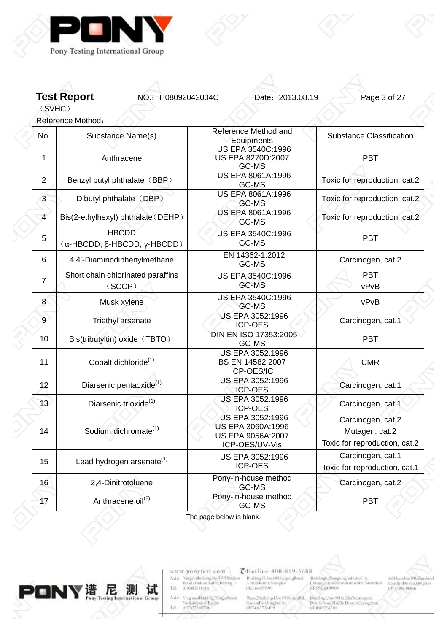

**Test Report NO.: H08092042004C** Date: 2013.08.19 Page 3 of 27

(SVHC) Reference Method:

| No.            | Substance Name(s)                                    | Reference Method and<br>Equipments                                           | <b>Substance Classification</b>                                      |
|----------------|------------------------------------------------------|------------------------------------------------------------------------------|----------------------------------------------------------------------|
| 1              | Anthracene                                           | <b>US EPA 3540C:1996</b><br>US EPA 8270D:2007<br>GC-MS                       | <b>PBT</b>                                                           |
| $\overline{2}$ | Benzyl butyl phthalate (BBP)                         | US EPA 8061A:1996<br>GC-MS                                                   | Toxic for reproduction, cat.2                                        |
| $\mathfrak{B}$ | Dibutyl phthalate (DBP)                              | US EPA 8061A:1996<br>GC-MS                                                   | Toxic for reproduction, cat.2                                        |
| $\overline{4}$ | Bis(2-ethylhexyl) phthalate (DEHP)                   | US EPA 8061A:1996<br>GC-MS                                                   | Toxic for reproduction, cat.2                                        |
| 5              | <b>HBCDD</b><br>$(α$ -HBCDD, $β$ -HBCDD, $γ$ -HBCDD) | US EPA 3540C:1996<br>GC-MS                                                   | PBT                                                                  |
| 6              | 4,4'-Diaminodiphenylmethane                          | EN 14362-1:2012<br>GC-MS                                                     | Carcinogen, cat.2                                                    |
| $\overline{7}$ | Short chain chlorinated paraffins<br>(SCCP)          | US EPA 3540C:1996<br>GC-MS                                                   | <b>PBT</b><br>vPvB                                                   |
| 8              | Musk xylene                                          | <b>US EPA 3540C:1996</b><br>GC-MS                                            | vPvB                                                                 |
| 9              | Triethyl arsenate                                    | US EPA 3052:1996<br><b>ICP-OES</b>                                           | Carcinogen, cat.1                                                    |
| 10             | Bis(tributyltin) oxide (TBTO)                        | DIN EN ISO 17353:2005<br>GC-MS                                               | <b>PBT</b>                                                           |
| 11             | Cobalt dichloride <sup>(1)</sup>                     | US EPA 3052:1996<br>BS EN 14582:2007<br>ICP-OES/IC                           | <b>CMR</b>                                                           |
| 12             | Diarsenic pentaoxide <sup>(1)</sup>                  | US EPA 3052:1996<br><b>ICP-OES</b>                                           | Carcinogen, cat.1                                                    |
| 13             | Diarsenic trioxide <sup>(1)</sup>                    | US EPA 3052:1996<br><b>ICP-OES</b>                                           | Carcinogen, cat.1                                                    |
| 14             | Sodium dichromate <sup>(1)</sup>                     | US EPA 3052:1996<br>US EPA 3060A:1996<br>US EPA 9056A:2007<br>ICP-OES/UV-Vis | Carcinogen, cat.2<br>Mutagen, cat.2<br>Toxic for reproduction, cat.2 |
| 15             | Lead hydrogen arsenate <sup>(1)</sup>                | US EPA 3052:1996<br><b>ICP-OES</b>                                           | Carcinogen, cat.1<br>Toxic for reproduction, cat.1                   |
| 16             | 2,4-Dinitrotoluene                                   | Pony-in-house method<br>GC-MS                                                | Carcinogen, cat.2                                                    |
| 17             | Anthracene oil <sup>(2)</sup>                        | Pony-in-house method<br>GC-MS                                                | <b>PBT</b>                                                           |

I he page below is blank。



www.ponytest.com  $\begin{tabular}{l|c} Add:~YingphBochling Na 49-7896/900\\ \hline \textbf{Rood} HaidimDistriu, Beting, \\ Tel: & 010082618116 \\ \end{tabular}$ 

VinghuanBinkling,HongqiRood,<br>Nanknidistrict,Tuzijin<br>(022-227360730) Add<sup>2</sup> Tel

**@Hotline 400-819-5688** 

Building55.No.680.GrapingBoad.<br>XuhaiDismict.Shanghai<br>(021)64851999

 $\begin{minipage}{.09\linewidth} \begin{minipage}{.45\linewidth} \textbf{Max} & \textbf{36} & \textbf{36} & \textbf{56} \\ \textbf{GaoximDist(Ningbot))} & \textbf{0874} & \textbf{0874} & \textbf{088} \\ \textbf{0874} & \textbf{0874} & \textbf{088} & \textbf{088} \\ \textbf{0874} & \textbf{088} & \textbf{088} & \textbf{088} \\ \textbf{088} & \textbf{088} & \textbf{088} & \textbf{088} \\ \textbf{088}$ Building3, No 1801 IniZhuTechnopark,<br>DinHellond,HaiZhiDismct.Georgen<br>(020:89224310

Broldings ZhongxingIndustryCity,<br>ChuangyeRoud NarshanDistrict Shenzhin<br>(0355)26050909

001Floor,No.190,Zjuzhoul<br>LaoshanDistrict,Quigdao<br>(0532,88706866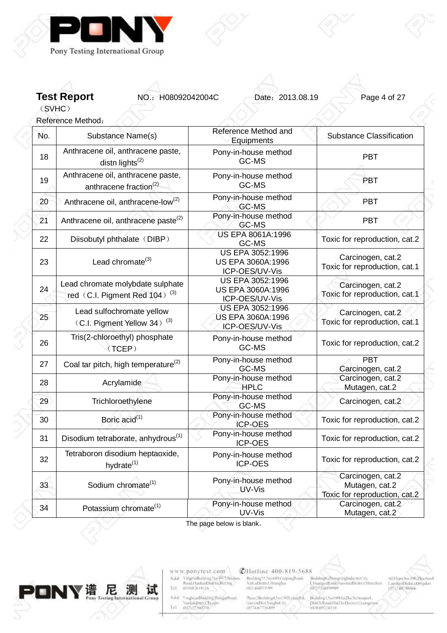

Reference Method:

**Test Report NO.: H08092042004C** Date: 2013.08.19 Page 4 of 27

(SVHC)

No. Substance Name(s) Reference Method and **Equipments** Substance Classification 18 Anthracene oil, anthracene paste, distn lights $(2)$ Pony-in-house method Priouse metricu<br>GC-MS PBT 19 Anthracene oil, anthracene paste, anthracene fraction<sup>(2)</sup> Pony-in-house method GC-MS PBT 20 Anthracene oil, anthracene-low<sup>(2)</sup> Pony-in-house method GC-MS **PBT** 21 Anthracene oil, anthracene paste<sup>(2)</sup> Pony-in-house method Priouse memoral and the part 22 | Diisobutyl phthalate (DIBP) US EPA 8061A:1996 GC-MS **Toxic for reproduction**, cat.2 23  $\vert$  Lead chromate<sup>(3)</sup> US EPA 3052:1996 US EPA 3060A:1996 ICP-OES/UV-Vis Carcinogen, cat.2 Toxic for reproduction, cat.1 24 Lead chromate molybdate sulphate red $(C.I.$  Pigment Red 104) $(3)$ US EPA 3052:1996 US EPA 3060A:1996 ICP-OES/UV-Vis Carcinogen, cat.2 Toxic for reproduction, cat.1 25 Lead sulfochromate yellow  $(C.I.$  Pigment Yellow 34) $(3)$ US EPA 3052:1996 US EPA 3060A:1996 ICP-OES/UV-Vis Carcinogen, cat.2 Toxic for reproduction, cat.1 26 Tris(2-chloroethyl) phosphate (TCEP) Pony-in-house method Friodse method<br>GC-MS Toxic for reproduction, cat.2 27 Coal tar pitch, high temperature<sup>(2)</sup> Pony-in-house method GC-MS **PRT** Carcinogen, cat.2 28 Acrylamide Pony-in-house method HPLC Carcinogen, cat.2 Mutagen, cat.2 29 Trichloroethylene Pony-in-house method GC-MS Carcinogen, cat.2 30 Boric acid<sup>(1)</sup> Boric acid<sup>(1)</sup> Pony-in-house method **Pony-**Toxic for reproduction, cat.2 31 Disodium tetraborate, anhydrous<sup>(1)</sup> Pony-in-house method<br>ICP-OES Toxic for reproduction, cat.2 32 Tetraboron disodium heptaoxide, hydrate $(1)$ Pony-in-house method ICP-OES The Toxic for reproduction, cat.2 33 Sodium chromate<sup>(1)</sup> Pony-in-house method UV-Vis Carcinogen, cat.2 Mutagen, cat.2 Toxic for reproduction, cat.2 34 Potassium chromate<sup>(1)</sup> Pony-in-house method UV-Vis Carcinogen, cat.2 Mutagen, cat.2

The page below is blank。



www.ponytest.com YingzhiBoilding No.49-7596 diou Add: Tel (010)82618116

**YinghuanBinkling**, Hongqi Road, Add Nanknidistrict.Tranju  $Te1$ 

**CHotline 400-819-5688** Building35,No.680.GuipingRoad. **XuhaiDistrict.Shanghai** (021)(4851999

Muse2Building4, No150XinhiuRd. Building3, No 189HaiZhuTech GaoxinDist, NingboCity DinHelboulHaiZhiDismcUinng<br>(02039224310

Broldings.ZhongxingIn JuranuveRoud NanshanDistrict Shenzhu enero nacio sene

60 Floor No. 190, Zhuzhoul LanshanDistrict Omedac (IS32.88706866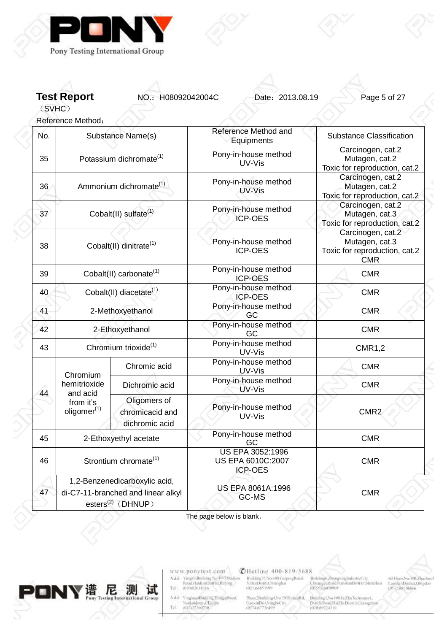

**Test Report NO.: H08092042004C** Date: 2013.08.19 Page 5 of 27

(SVHC) Reference Method:

| No. |                                                                                           | Substance Name(s)                                                                              | Reference Method and<br>Equipments                             | <b>Substance Classification</b>                                                    |
|-----|-------------------------------------------------------------------------------------------|------------------------------------------------------------------------------------------------|----------------------------------------------------------------|------------------------------------------------------------------------------------|
| 35  |                                                                                           | Potassium dichromate <sup>(1)</sup>                                                            | Pony-in-house method<br>UV-Vis                                 | Carcinogen, cat.2<br>Mutagen, cat.2<br>Toxic for reproduction, cat.2               |
| 36. |                                                                                           | Ammonium dichromate <sup>(1)</sup>                                                             | Pony-in-house method<br>UV-Vis                                 | Carcinogen, cat.2<br>Mutagen, cat.2<br>Toxic for reproduction, cat.2               |
| 37  |                                                                                           | Cobalt(II) sulfate <sup>(1)</sup>                                                              | Pony-in-house method<br><b>ICP-OES</b>                         | Carcinogen, cat.2<br>Mutagen, cat.3<br>Toxic for reproduction, cat.2               |
| 38  |                                                                                           | Cobalt(II) dinitrate <sup>(1)</sup>                                                            | Pony-in-house method<br><b>ICP-OES</b>                         | Carcinogen, cat.2<br>Mutagen, cat.3<br>Toxic for reproduction, cat.2<br><b>CMR</b> |
| 39  |                                                                                           | Cobalt(II) carbonate <sup>(1)</sup>                                                            | Pony-in-house method<br><b>ICP-OES</b>                         | <b>CMR</b>                                                                         |
| 40  |                                                                                           | Cobalt(II) diacetate <sup>(1)</sup>                                                            | Pony-in-house method<br><b>ICP-OES</b>                         | <b>CMR</b>                                                                         |
| 41  |                                                                                           | 2-Methoxyethanol                                                                               | Pony-in-house method<br>GC                                     | <b>CMR</b>                                                                         |
| 42  | 2-Ethoxyethanol<br>Chromium trioxide <sup>(1)</sup>                                       |                                                                                                | Pony-in-house method<br>GC                                     | <b>CMR</b>                                                                         |
| 43  |                                                                                           |                                                                                                | Pony-in-house method<br>UV-Vis                                 | <b>CMR1,2</b>                                                                      |
|     |                                                                                           | Chromic acid                                                                                   | Pony-in-house method<br>UV-Vis                                 | <b>CMR</b>                                                                         |
| 44  | Chromium<br>hemitrioxide<br>and acid                                                      | Dichromic acid                                                                                 | Pony-in-house method<br>UV-Vis                                 | <b>CMR</b>                                                                         |
|     | Oligomers of<br>from it's<br>oligomer <sup>(1)</sup><br>chromicacid and<br>dichromic acid |                                                                                                | Pony-in-house method<br>UV-Vis                                 | CMR <sub>2</sub>                                                                   |
| 45  |                                                                                           | 2-Ethoxyethyl acetate                                                                          | Pony-in-house method<br>GC                                     | <b>CMR</b>                                                                         |
| 46  |                                                                                           | Strontium chromate <sup>(1)</sup>                                                              | <b>US EPA 3052:1996</b><br>US EPA 6010C:2007<br><b>ICP-OES</b> | <b>CMR</b>                                                                         |
| 47  |                                                                                           | 1,2-Benzenedicarboxylic acid,<br>di-C7-11-branched and linear alkyl<br>esters $^{(2)}$ (DHNUP) | US EPA 8061A:1996<br>GC-MS                                     | <b>CMR</b>                                                                         |

The page below is blank。



www.ponytest.com  $\begin{tabular}{l|c} Add:~YingphBochling Na 49-7896/900\\ \hline \textbf{Rood} HaidimDistriu, Beting, \\ Tel: & 010082618116 \\ \end{tabular}$ 

VinghuanBinkling,HongqiRood,<br>Nanknidistrict,Tuzijin<br>(022-227360730) Add<sup>2</sup> Tel

**@Hotline 400-819-5688** 

Building35.No.680.GrapingBoad.<br>XultaiDismict.Shanghai<br>(021)64851599

 $\substack{\text{Mass:2Buiding 4.No150X inbinf}\\\text{GaoxinDist:Ningfootity}{\text{G0574367736499}}}$ 

Broldings ZhongxingIndustryCity,<br>ChuangyeRoud NarshanDistrict Shenzhin<br>(0355)26050909

001Floor,No.190,Zjuzhoul<br>LaoshanDistrict,Quigdao<br>(0532,88706866

Building3, No 1801 IniZhuTechnopark,<br>DinHellond,HaiZhiDismct.Georgen<br>(020:89224310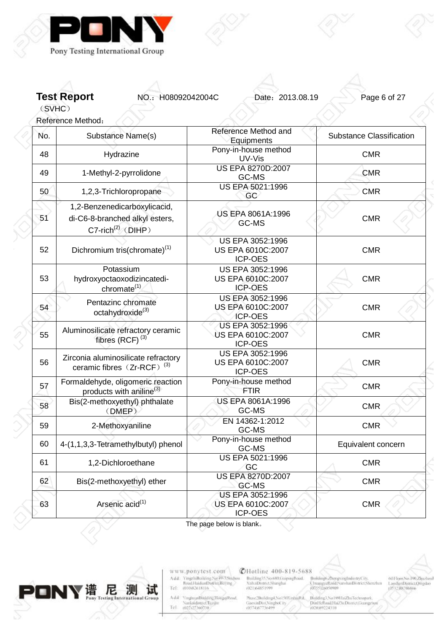

**Test Report NO.: H08092042004C** Date: 2013.08.19 Page 6 of 27

(SVHC)

|                                                     | Reference Method:                                                                                  |                                                                |                                 |
|-----------------------------------------------------|----------------------------------------------------------------------------------------------------|----------------------------------------------------------------|---------------------------------|
| No.                                                 | Substance Name(s)                                                                                  | Reference Method and<br>Equipments                             | <b>Substance Classification</b> |
| 48                                                  | Hydrazine                                                                                          | Pony-in-house method<br>UV-Vis                                 | <b>CMR</b>                      |
| 49                                                  | 1-Methyl-2-pyrrolidone                                                                             | US EPA 8270D:2007<br>GC-MS                                     | <b>CMR</b>                      |
| 50                                                  | 1,2,3-Trichloropropane                                                                             | US EPA 5021:1996<br>GC                                         | <b>CMR</b>                      |
| 51                                                  | 1,2-Benzenedicarboxylicacid,<br>di-C6-8-branched alkyl esters,<br>$C7$ -rich <sup>(2)</sup> (DIHP) | US EPA 8061A:1996<br>GC-MS                                     | <b>CMR</b>                      |
| 52                                                  | Dichromium tris(chromate) <sup>(1)</sup>                                                           | US EPA 3052:1996<br>US EPA 6010C:2007<br><b>ICP-OES</b>        | <b>CMR</b>                      |
| 53                                                  | Potassium<br>hydroxyoctaoxodizincatedi-<br>chromate <sup>(1)</sup>                                 | US EPA 3052:1996<br>US EPA 6010C:2007<br><b>ICP-OES</b>        | <b>CMR</b>                      |
| 54                                                  | Pentazinc chromate<br>octahydroxide <sup>(3)</sup>                                                 | <b>US EPA 3052:1996</b><br>US EPA 6010C:2007<br><b>ICP-OES</b> | <b>CMR</b>                      |
| 55                                                  | Aluminosilicate refractory ceramic<br>fibres (RCF) <sup>(3)</sup>                                  | US EPA 3052:1996<br>US EPA 6010C:2007<br><b>ICP-OES</b>        | <b>CMR</b>                      |
| 56                                                  | Zirconia aluminosilicate refractory<br>ceramic fibres (Zr-RCF) <sup>(3)</sup>                      | <b>US EPA 3052:1996</b><br>US EPA 6010C:2007<br><b>ICP-OES</b> | <b>CMR</b>                      |
| 57                                                  | Formaldehyde, oligomeric reaction<br>products with aniline <sup>(3)</sup>                          | Pony-in-house method<br>FTIR                                   | <b>CMR</b>                      |
| 58                                                  | Bis(2-methoxyethyl) phthalate<br>(DMEP)                                                            | US EPA 8061A:1996<br>GC-MS                                     | <b>CMR</b>                      |
| 59                                                  | 2-Methoxyaniline                                                                                   | EN 14362-1:2012<br>GC-MS                                       | <b>CMR</b>                      |
| 60                                                  | 4-(1,1,3,3-Tetramethylbutyl) phenol                                                                | Pony-in-house method<br>GC-MS                                  | Equivalent concern              |
| 61                                                  | 1,2-Dichloroethane                                                                                 | US EPA 5021:1996<br>GC                                         | <b>CMR</b>                      |
| 62                                                  | Bis(2-methoxyethyl) ether                                                                          | US EPA 8270D:2007<br>GC-MS                                     | <b>CMR</b>                      |
| Arsenic acid <sup>(1)</sup><br>63<br><b>ICP-OES</b> |                                                                                                    | US EPA 3052:1996<br>US EPA 6010C:2007                          | <b>CMR</b>                      |

The page below is blank。



www.ponytest.com  $\begin{tabular}{l|c} Add:~YingphBochling Na 49-7896/900\\ \hline \textbf{Rood} HaidimDistriu, Beting, \\ Tel: & 010082618116 \\ \end{tabular}$ 

 $\substack{\text{Mass:2Buiding 4.No150X inbinf}\\\text{GaoxinDist:Ningfootity}{\text{G0574367736499}}}$ Add: YinghuanBhilding,HongqiRood<br>| Nanknidistrici Tuzijin<br>|Tel | 002127360730

**@Hotline 400-819-5688** Building35.No.680.GrapingBoad.<br>XultaiDismict.Shanghai<br>(021)64851599

Broldings/ZhongxingIndustryCity,<br>ChramgeeRond/NarshanDistrict/Shenzhim<br>(0355)26050909 :<br>Building3, No 180HziZhuTechnopark,<br>Dun16:Road,HaiZhiDismcChuangzh<br>(020:89224310

 $001\,\mathrm{bow}$ No.<br>190<br/>,Zimchuul Laushan<br>Districti<br/>Ompilao $105\,32\,388\,700\,886$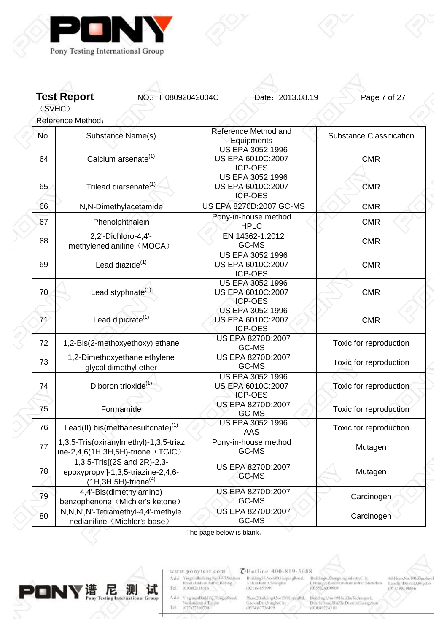

**Test Report NO.: H08092042004C** Date: 2013.08.19 Page 7 of 27

(SVHC) Reference Method:

| No. | Substance Name(s)                                                                                          | Reference Method and<br>Equipments                             | <b>Substance Classification</b> |  |
|-----|------------------------------------------------------------------------------------------------------------|----------------------------------------------------------------|---------------------------------|--|
| 64  | Calcium arsenate <sup>(1)</sup>                                                                            | <b>US EPA 3052:1996</b><br>US EPA 6010C:2007<br><b>ICP-OES</b> | <b>CMR</b>                      |  |
| 65  | Trilead diarsenate <sup>(1)</sup>                                                                          | US EPA 3052:1996<br>US EPA 6010C:2007<br><b>ICP-OES</b>        | <b>CMR</b>                      |  |
| 66  | N,N-Dimethylacetamide                                                                                      | US EPA 8270D:2007 GC-MS                                        | <b>CMR</b>                      |  |
| 67  | Phenolphthalein                                                                                            | Pony-in-house method<br><b>HPLC</b>                            | <b>CMR</b>                      |  |
| 68  | 2,2'-Dichloro-4,4'-<br>methylenedianiline (MOCA)                                                           | EN 14362-1:2012<br>GC-MS                                       | <b>CMR</b>                      |  |
| 69  | Lead diazide <sup>(1)</sup>                                                                                | US EPA 3052:1996<br>US EPA 6010C:2007<br><b>ICP-OES</b>        | <b>CMR</b>                      |  |
| 70  | Lead styphnate <sup>(1)</sup>                                                                              | <b>US EPA 3052:1996</b><br>US EPA 6010C:2007<br><b>ICP-OES</b> | <b>CMR</b>                      |  |
| 71  | Lead dipicrate <sup>(1)</sup>                                                                              | US EPA 3052:1996<br>US EPA 6010C:2007<br><b>ICP-OES</b>        | <b>CMR</b>                      |  |
| 72  | 1,2-Bis(2-methoxyethoxy) ethane                                                                            | US EPA 8270D:2007<br>GC-MS                                     | Toxic for reproduction          |  |
| 73  | 1,2-Dimethoxyethane ethylene<br>glycol dimethyl ether<br>Diboron trioxide <sup>(1)</sup>                   | US EPA 8270D:2007<br>GC-MS                                     | Toxic for reproduction          |  |
| 74  |                                                                                                            | US EPA 3052:1996<br>US EPA 6010C:2007<br><b>ICP-OES</b>        | Toxic for reproduction          |  |
| 75  | Formamide                                                                                                  | <b>US EPA 8270D:2007</b><br>GC-MS                              | Toxic for reproduction          |  |
| 76  | Lead(II) bis(methanesulfonate) <sup>(1)</sup>                                                              | US EPA 3052:1996<br>AAS                                        | Toxic for reproduction          |  |
| 77  | 1,3,5-Tris(oxiranylmethyl)-1,3,5-triaz<br>ine-2,4,6 $(1H, 3H, 5H)$ -trione (TGIC)                          | Pony-in-house method<br>GC-MS                                  | Mutagen                         |  |
| 78  | 1,3,5-Tris[(2S and 2R)-2,3-<br>epoxypropyl]-1,3,5-triazine-2,4,6-<br>$(1H, 3H, 5H)$ -trione <sup>(4)</sup> | US EPA 8270D:2007<br>GC-MS                                     | Mutagen                         |  |
| 79  | 4,4'-Bis(dimethylamino)<br>benzophenone (Michler's ketone)                                                 | US EPA 8270D:2007<br>GC-MS                                     |                                 |  |
| 80  | N,N,N',N'-Tetramethyl-4,4'-methyle<br>nedianiline (Michler's base)                                         | <b>US EPA 8270D:2007</b><br>GC-MS                              | Carcinogen                      |  |

The page below is blank。



www.ponytest.com  $\begin{tabular}{l|c} Add:~YingphBokling Na 49-78004000\\ \hline \textbf{Rood} HamiltonDiffint, Berlin & \\ Tel: & 010082618116 \\ \end{tabular}$ 

VinghuanBinkling,HongqiRood,<br>Nanknidistrict,Tuzijin<br>(022-227360730) Add<sup>2</sup> Tel

**CHotline 400-819-5688** Building55.No.680.GrapingBoad.<br>XuhaiDismict.Shanghai<br>(021)64851999

Broldings ZhongxingIndustryCity,<br>ChuangyeRoud NarshanDistrict Shenzhin<br>(0355)26050909

 $001\,\mathrm{bow}$ No.<br>190<br/>,Zimchuul Laushan<br>Districti<br/>Ompilao $105\,32\,388\,700\,886$ 

 $\begin{array}{l} {\tiny \textsf{Mass-2Buiding4,No150XiphuRd.}}\\ {\tiny \textsf{GiaoximDis1,NingboC11}}\\ 0574387736499 \end{array}$ Building3, No 1801 IniZhuTechnopark,<br>DinHellond,HaiZhiDismct.Georgen<br>(020:89224310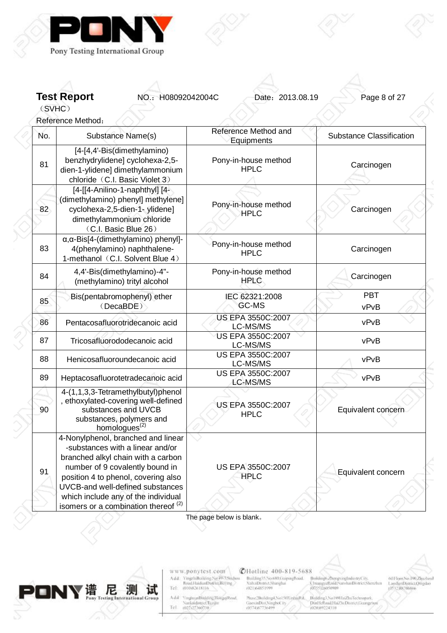

**Test Report NO.: H08092042004C** Date: 2013.08.19 Page 8 of 27

(SVHC)

Reference Method:

| No. | Substance Name(s)                                                                                                                                                                                                                                                                                                    | Reference Method and<br>Equipments   | <b>Substance Classification</b> |
|-----|----------------------------------------------------------------------------------------------------------------------------------------------------------------------------------------------------------------------------------------------------------------------------------------------------------------------|--------------------------------------|---------------------------------|
| 81  | [4-[4,4'-Bis(dimethylamino)<br>benzhydrylidene] cyclohexa-2,5-<br>dien-1-ylidene] dimethylammonium<br>chloride (C.I. Basic Violet 3)                                                                                                                                                                                 | Pony-in-house method<br><b>HPLC</b>  | Carcinogen                      |
| 82  | [4-[[4-Anilino-1-naphthyl] [4-<br>(dimethylamino) phenyl] methylene]<br>cyclohexa-2,5-dien-1- ylidene]<br>dimethylammonium chloride<br>(C.I. Basic Blue 26)                                                                                                                                                          | Pony-in-house method<br><b>HPLC</b>  | Carcinogen                      |
| 83  | α, α-Bis[4-(dimethylamino) phenyl]-<br>4(phenylamino) naphthalene-<br>1-methanol (C.I. Solvent Blue 4)                                                                                                                                                                                                               | Pony-in-house method<br><b>HPLC</b>  | Carcinogen                      |
| 84  | 4,4'-Bis(dimethylamino)-4"-<br>(methylamino) trityl alcohol                                                                                                                                                                                                                                                          | Pony-in-house method<br><b>HPLC</b>  | Carcinogen                      |
| 85  | Bis(pentabromophenyl) ether<br>(DecaBDE)                                                                                                                                                                                                                                                                             | IEC 62321:2008<br>GC-MS              | <b>PBT</b><br>vPvB              |
| 86  | Pentacosafluorotridecanoic acid                                                                                                                                                                                                                                                                                      | US EPA 3550C:2007<br>LC-MS/MS        | vPvB                            |
| 87  | Tricosafluorododecanoic acid                                                                                                                                                                                                                                                                                         | <b>US EPA 3550C:2007</b><br>LC-MS/MS | vPvB                            |
| 88  | Henicosafluoroundecanoic acid                                                                                                                                                                                                                                                                                        | <b>US EPA 3550C:2007</b><br>LC-MS/MS | vPvB                            |
| 89  | Heptacosafluorotetradecanoic acid                                                                                                                                                                                                                                                                                    | US EPA 3550C:2007<br>LC-MS/MS        | vPvB                            |
| 90  | 4-(1,1,3,3-Tetramethylbutyl)phenol<br>, ethoxylated-covering well-defined<br>substances and UVCB<br>substances, polymers and<br>homologues <sup>(2)</sup>                                                                                                                                                            | US EPA 3550C:2007<br><b>HPLC</b>     | Equivalent concern              |
| 91  | 4-Nonylphenol, branched and linear<br>-substances with a linear and/or<br>branched alkyl chain with a carbon<br>number of 9 covalently bound in<br>position 4 to phenol, covering also<br>UVCB-and well-defined substances<br>which include any of the individual<br>isomers or a combination thereof <sup>(2)</sup> | US EPA 3550C:2007<br><b>HPLC</b>     | Equivalent concern              |

The page below is blank。



www.ponytest.com  $\begin{tabular}{l|c} Add:~YingphBochling Na 49-7896/900\\ \hline \textbf{Rood} HaidimDistriu, Beting, \\ Tel: & 010082618116 \\ \end{tabular}$ 

VinghuanBinkling,HongqiRood,<br>Nanknidistrict,Tuzijin<br>(022-227360730) Add<sup>2</sup> Tel

**@Hotline 400-819-5688** 

Building55.No.680.GrapingBoad.<br>XuhaiDismict.Shanghai<br>(021)64851999

 $\begin{minipage}{.09\linewidth} \begin{minipage}{.45\linewidth} \textbf{Max} & \textbf{36} & \textbf{36} & \textbf{56} \\ \textbf{GaoximDist(Ningbot))} & \textbf{0874} & \textbf{0874} & \textbf{088} \\ \textbf{0874} & \textbf{0874} & \textbf{088} & \textbf{088} \\ \textbf{0874} & \textbf{088} & \textbf{088} & \textbf{088} \\ \textbf{088} & \textbf{088} & \textbf{088} & \textbf{088} \\ \textbf{088}$ Building3, No 1801 IniZhuTechnopark,<br>DinHellond,HaiZhiDismct.Georgen<br>(020:89224310

Broldings ZhongxingIndustryCity,<br>ChuangyeRoud NarshanDistrict Shenzhin<br>(0355)26050909

001Floor,No.190,Zjuzhoul<br>LaoshanDistrict,Quigdao<br>(0532,88706866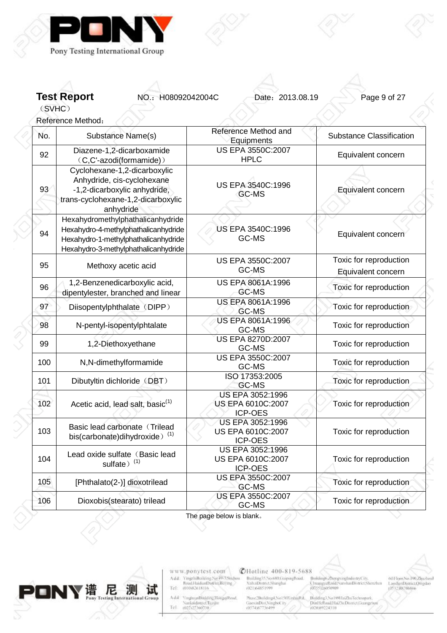

**Test Report NO.: H08092042004C** Date: 2013.08.19 Page 9 of 27

(SVHC)

Reference Method:

| No. | Substance Name(s)                                                                                                                                         | Reference Method and<br>Equipments                      | <b>Substance Classification</b>              |
|-----|-----------------------------------------------------------------------------------------------------------------------------------------------------------|---------------------------------------------------------|----------------------------------------------|
| 92  | Diazene-1,2-dicarboxamide<br>(C,C'-azodi(formamide))                                                                                                      | US EPA 3550C:2007<br><b>HPLC</b>                        | Equivalent concern                           |
| 93  | Cyclohexane-1,2-dicarboxylic<br>Anhydride, cis-cyclohexane<br>-1,2-dicarboxylic anhydride,<br>trans-cyclohexane-1,2-dicarboxylic<br>anhydride             | US EPA 3540C:1996<br>GC-MS                              | Equivalent concern                           |
| 94  | Hexahydromethylphathalicanhydride<br>Hexahydro-4-methylphathalicanhydride<br>Hexahydro-1-methylphathalicanhydride<br>Hexahydro-3-methylphathalicanhydride | US EPA 3540C:1996<br>GC-MS                              | Equivalent concern                           |
| 95  | Methoxy acetic acid                                                                                                                                       | US EPA 3550C:2007<br>GC-MS                              | Toxic for reproduction<br>Equivalent concern |
| 96  | 1,2-Benzenedicarboxylic acid,<br>dipentylester, branched and linear                                                                                       | US EPA 8061A:1996<br>GC-MS                              | Toxic for reproduction                       |
| 97  | Diisopentylphthalate (DIPP)                                                                                                                               | US EPA 8061A:1996<br>GC-MS                              | Toxic for reproduction                       |
| 98  | N-pentyl-isopentylphtalate                                                                                                                                | US EPA 8061A:1996<br>GC-MS                              | Toxic for reproduction                       |
| 99  | 1,2-Diethoxyethane                                                                                                                                        | US EPA 8270D:2007<br>GC-MS                              | Toxic for reproduction                       |
| 100 | N,N-dimethylformamide                                                                                                                                     | <b>US EPA 3550C:2007</b><br>GC-MS                       | Toxic for reproduction                       |
| 101 | Dibutyltin dichloride (DBT)                                                                                                                               | ISO 17353:2005<br>GC-MS                                 | Toxic for reproduction                       |
| 102 | Acetic acid, lead salt, basic <sup>(1)</sup>                                                                                                              | US EPA 3052:1996<br>US EPA 6010C:2007<br><b>ICP-OES</b> | Toxic for reproduction                       |
| 103 | Basic lead carbonate (Trilead<br>bis(carbonate)dihydroxide) <sup>(1)</sup>                                                                                | US EPA 3052:1996<br>US EPA 6010C:2007<br><b>ICP-OES</b> | Toxic for reproduction                       |
| 104 | Lead oxide sulfate (Basic lead<br>sulfate) <sup>(1)</sup>                                                                                                 | US EPA 3052:1996<br>US EPA 6010C:2007<br><b>ICP-OES</b> | Toxic for reproduction                       |
| 105 | [Phthalato(2-)] dioxotrilead                                                                                                                              | US EPA 3550C:2007<br>GC-MS                              | Toxic for reproduction                       |
| 106 | Dioxobis(stearato) trilead                                                                                                                                | <b>US EPA 3550C:2007</b><br>GC-MS                       | Toxic for reproduction                       |

The page below is blank。



www.ponytest.com  $\begin{tabular}{l|c} Add:~YingphBochling Na 49-7896/900\\ \hline \textbf{Rood} HaidimDistriu, Beting, \\ Tel: & 010082618116 \\ \end{tabular}$ 

Add: YinghuanBhilding,HongqiRood<br>| Nanknidistrici Tuzijin<br>|Tel | 002127360730

**@Hotline 400-819-5688** 

Building35.No.680.GrapingBoad.<br>XultaiDismict.Shanghai<br>(021)64851599

 $\begin{tabular}{l|c|c|c} {\tt Max2-BolidingA, No150XinkingBd}, & {\tt Balling1, No180HzZlu/Tectmapsak}, \\ {\tt GiaexinDist/NingfocCity}, & {\tt PiniFelkcoilHaZlu/DeBsmctJoswazz} \\ (0574387736499 & (020389224310) \\ \end{tabular}$ 

Broldings ZhongxingIndustryCity,<br>ChuangyeRoud NarshanDistrict Shenzhin<br>(0355)26050909

001Floor,No.190,Zjuzhoul<br>LaoshanDistrict,Quigdao<br>(0532,88706866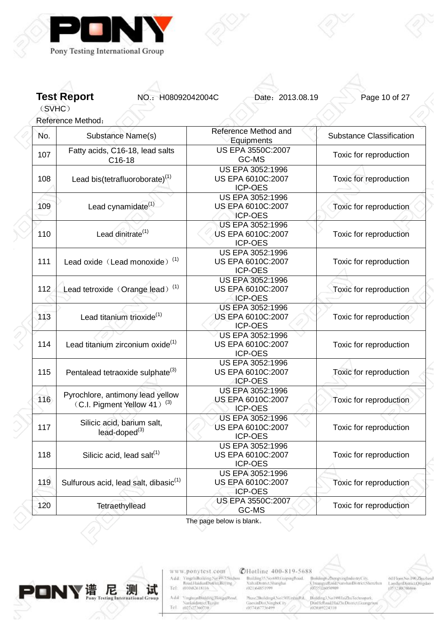

**Test Report NO.: H08092042004C** Date: 2013.08.19 Page 10 of 27

(SVHC)

Reference Method:

| No. | Substance Name(s)                                                           | Reference Method and<br>Equipments                      | <b>Substance Classification</b> |
|-----|-----------------------------------------------------------------------------|---------------------------------------------------------|---------------------------------|
| 107 | Fatty acids, C16-18, lead salts<br>C16-18                                   | US EPA 3550C:2007<br>GC-MS                              | Toxic for reproduction          |
| 108 | Lead bis(tetrafluoroborate) $(1)$                                           | US EPA 3052:1996<br>US EPA 6010C:2007<br>ICP-OES        | Toxic for reproduction          |
| 109 | Lead cynamidate <sup>(1)</sup>                                              | US EPA 3052:1996<br>US EPA 6010C:2007<br><b>ICP-OES</b> | Toxic for reproduction          |
| 110 | Lead dinitrate <sup>(1)</sup>                                               | US EPA 3052:1996<br>US EPA 6010C:2007<br>ICP-OES        | Toxic for reproduction          |
| 111 | Lead oxide (Lead monoxide) <sup>(1)</sup>                                   | US EPA 3052:1996<br>US EPA 6010C:2007<br>ICP-OES        | Toxic for reproduction          |
| 112 | Lead tetroxide (Orange lead) <sup>(1)</sup>                                 | US EPA 3052:1996<br>US EPA 6010C:2007<br><b>ICP-OES</b> | Toxic for reproduction          |
| 113 | Lead titanium trioxide <sup>(1)</sup>                                       | US EPA 3052:1996<br>US EPA 6010C:2007<br><b>ICP-OES</b> | Toxic for reproduction          |
| 114 | Lead titanium zirconium oxide <sup>(1)</sup>                                | US EPA 3052:1996<br>US EPA 6010C:2007<br><b>ICP-OES</b> | Toxic for reproduction          |
| 115 | Pentalead tetraoxide sulphate <sup>(3)</sup>                                | US EPA 3052:1996<br>US EPA 6010C:2007<br><b>ICP-OES</b> | Toxic for reproduction          |
| 116 | Pyrochlore, antimony lead yellow<br>(C.I. Pigment Yellow 41) <sup>(3)</sup> | US EPA 3052:1996<br>US EPA 6010C:2007<br><b>ICP-OES</b> | Toxic for reproduction          |
| 117 | Silicic acid, barium salt,<br>$lead-doped(3)$                               | US EPA 3052:1996<br>US EPA 6010C:2007<br><b>ICP-OES</b> | Toxic for reproduction          |
| 118 | Silicic acid, lead salt $(1)$                                               | US EPA 3052:1996<br>US EPA 6010C:2007<br><b>ICR-OES</b> | Toxic for reproduction          |
| 119 | Sulfurous acid, lead salt, dibasic <sup>(1)</sup>                           | US EPA 3052:1996<br>US EPA 6010C:2007<br><b>ICP-OES</b> | Toxic for reproduction          |
| 120 | Tetraethyllead                                                              | US EPA 3550C:2007<br>GC-MS                              | Toxic for reproduction          |

The page below is blank。



www.ponytest.com  $\begin{tabular}{l|c} Add:~YingphBochling Na 49-7896/900\\ \hline \textbf{Rood} HaidimDistriu, Beting, \\ Tel: & 010082618116 \\ \end{tabular}$ 

Add: YinghuanBhilding,HongqiRood<br>| Nanknidistrici Tuzijin<br>|Tel | 002127360730

**@Hotline 400-819-5688** Building35.No.680.GrapingBoad.<br>XultaiDismict.Shanghai<br>(021)64851599

 $\substack{\text{Mass:2Buiding 4.No150X inbinf}\\\text{GaoxinDist:Ningfootity}{\text{G0574367736499}}}$ Building3, No 1801 IniZhuTechnopark,<br>DinHellond,HaiZhiDismct.Georgen<br>(020:89224310

Broldings/ZhongxingIndustryCity,<br>ChramgeeRond/NarshanDistrict/Shenzhim<br>(0355)26050909

 $001\,\mathrm{bow}$ No.<br>190<br/>,Zimchuul Laushan<br>Districti<br/>Ompilao $105\,32\,388\,700\,886$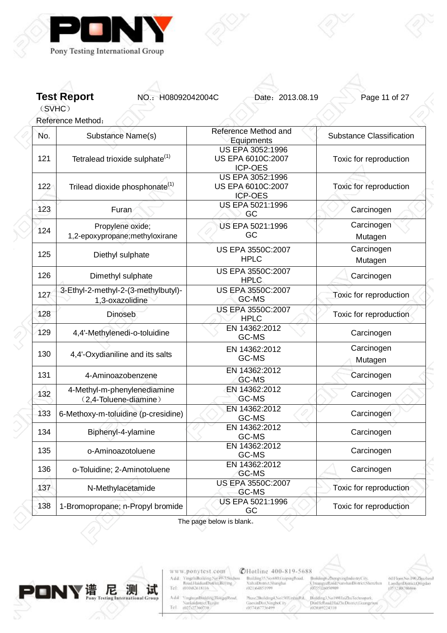

**Test Report NO.: H08092042004C** Date: 2013.08.19 Page 11 of 27

(SVHC) Reference Method:

| No. | Substance Name(s)                                      | Reference Method and<br>Equipments                             | <b>Substance Classification</b> |
|-----|--------------------------------------------------------|----------------------------------------------------------------|---------------------------------|
| 121 | Tetralead trioxide sulphate <sup>(1)</sup>             | <b>US EPA 3052:1996</b><br>US EPA 6010C:2007<br><b>ICP-OES</b> | Toxic for reproduction          |
| 122 | Trilead dioxide phosphonate <sup>(1)</sup>             | <b>US EPA 3052:1996</b><br>US EPA 6010C:2007<br><b>ICP-OES</b> | Toxic for reproduction          |
| 123 | Furan                                                  | US EPA 5021:1996<br>GC                                         | Carcinogen                      |
| 124 | Propylene oxide;<br>1,2-epoxypropane;methyloxirane     | US EPA 5021:1996<br>GC                                         | Carcinogen<br>Mutagen           |
| 125 | Diethyl sulphate                                       | US EPA 3550C:2007<br><b>HPLC</b>                               | Carcinogen<br>Mutagen           |
| 126 | Dimethyl sulphate                                      | US EPA 3550C:2007<br><b>HPLC</b>                               | Carcinogen                      |
| 127 | 3-Ethyl-2-methyl-2-(3-methylbutyl)-<br>1,3-oxazolidine | US EPA 3550C:2007<br>GC-MS                                     | Toxic for reproduction          |
| 128 | Dinoseb                                                | US EPA 3550C:2007<br><b>HPLC</b>                               | Toxic for reproduction          |
| 129 | 4,4'-Methylenedi-o-toluidine                           | EN 14362:2012<br>GC-MS                                         | Carcinogen                      |
| 130 | 4,4'-Oxydianiline and its salts                        | EN 14362:2012<br>GC-MS                                         | Carcinogen<br>Mutagen           |
| 131 | 4-Aminoazobenzene                                      | EN 14362:2012<br>GC-MS                                         | Carcinogen                      |
| 132 | 4-Methyl-m-phenylenediamine<br>(2,4-Toluene-diamine)   | EN 14362:2012<br>GC-MS                                         | Carcinogen                      |
| 133 | 6-Methoxy-m-toluidine (p-cresidine)                    | EN 14362:2012<br>GC-MS                                         | Carcinogen                      |
| 134 | Biphenyl-4-ylamine                                     | EN 14362:2012<br>GC-MS                                         | Carcinogen                      |
| 135 | o-Aminoazotoluene                                      | EN 14362:2012<br>GC-MS                                         | Carcinogen                      |
| 136 | o-Toluidine; 2-Aminotoluene                            | EN 14362:2012<br>GC-MS                                         | Carcinogen                      |
| 137 | N-Methylacetamide                                      | <b>US EPA 3550C:2007</b><br>GC-MS                              | Toxic for reproduction          |
| 138 | 1-Bromopropane; n-Propyl bromide                       | US EPA 5021:1996<br>GC                                         | Toxic for reproduction          |

The page below is blank。



www.ponytest.com  $\begin{tabular}{l|c} Add:~YingphBokbing Na 49-78004000\\ \hline \textbf{Rood} HaidimDistriu, Beting, \\ Tel: & 010082618116 \\ \end{tabular}$ 

Add: YinghuanBhilding,HongqiRood<br>| Nanknidistrici Tuzijin<br>|Tel | 002127360730

**@Hotline 400-819-5688** Building55.No.680.GrapingBoad.<br>XuhaiDismict.Shanghai<br>(021)64851999

 $\substack{\text{Mass:2Buiding 4.No150X inbinf}\\\text{GaoxinDist:Ningfootity}{\text{G0574367736499}}}$ :<br>Building3, No 180HziZhuTechnopark,<br>Dun16:Road,HaiZhiDismcChuangzh<br>(020:89224310

Broldings/ZhongxingIndustryCity,<br>ChramgeeRond/NarshanDistrict/Shenzhim<br>(0355)26050909

 $001\,\mathrm{bow}$ No.<br>190<br/>,Zimchuul Laushan<br>Districti<br/>Ompilao $105\,32\,388\,700\,886$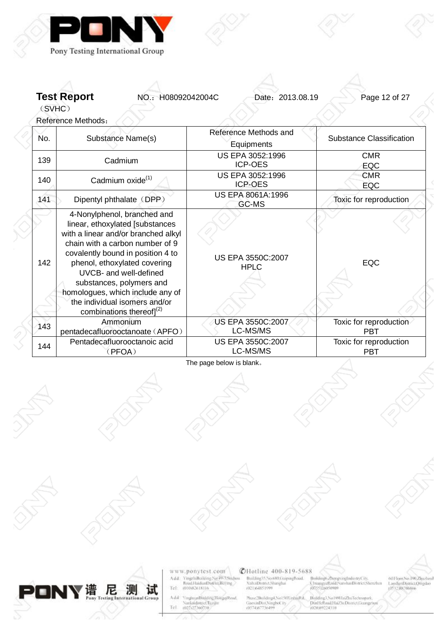

**Test Report NO.: H08092042004C** Date: 2013.08.19 Page 12 of 27

(SVHC)

Reference Methods:

| No. | Substance Name(s)                                                                                                                                                                                                                                                                                                                                                          | Reference Methods and<br>Equipments | <b>Substance Classification</b>      |
|-----|----------------------------------------------------------------------------------------------------------------------------------------------------------------------------------------------------------------------------------------------------------------------------------------------------------------------------------------------------------------------------|-------------------------------------|--------------------------------------|
| 139 | Cadmium                                                                                                                                                                                                                                                                                                                                                                    | US EPA 3052:1996<br><b>ICP-OES</b>  | <b>CMR</b><br>EQC                    |
| 140 | Cadmium oxide <sup>(1)</sup>                                                                                                                                                                                                                                                                                                                                               | US EPA 3052:1996<br><b>ICP-OES</b>  | <b>CMR</b><br>EQC                    |
| 141 | Dipentyl phthalate (DPP)                                                                                                                                                                                                                                                                                                                                                   | US EPA 8061A:1996<br>GC-MS          | Toxic for reproduction               |
| 142 | 4-Nonylphenol, branched and<br>linear, ethoxylated [substances<br>with a linear and/or branched alkyl<br>chain with a carbon number of 9<br>covalently bound in position 4 to<br>phenol, ethoxylated covering<br>UVCB- and well-defined<br>substances, polymers and<br>homologues, which include any of<br>the individual isomers and/or<br>combinations thereof] $^{(2)}$ | US EPA 3550C:2007<br><b>HPLC</b>    | <b>EQC</b>                           |
| 143 | Ammonium<br>pentadecafluorooctanoate (APFO)                                                                                                                                                                                                                                                                                                                                | US EPA 3550C:2007<br>LC-MS/MS       | Toxic for reproduction<br><b>PBT</b> |
| 144 | Pentadecafluorooctanoic acid<br>(PFOA)                                                                                                                                                                                                                                                                                                                                     | US EPA 3550C:2007<br>LC-MS/MS       | Toxic for reproduction<br><b>PBT</b> |

The page below is blank。



www.ponytest.com  $\begin{tabular}{l|c} Add:~YingphBokling Na 49-78004000\\ \hline \textbf{Rood} HamiltonDiffint, Berlin & \\ Tel: & 010082618116 \\ \end{tabular}$ 

VinghuanBinkling,HongqiRood,<br>Nankaidisteret,Hargin<br>(022-25360730) Add Tel

# **@Hotline 400-819-5688**

Building55266680.GupmgRoad<br>XuhaiDismit:Shanghai<br>(021)64851599

 $\begin{minipage}{.4\linewidth} \begin{minipage}{.4\linewidth} \textbf{Max} & \textbf{N} & \textbf{N} & \textbf{N} \\ \textbf{Gao} & \textbf{M} & \textbf{M} & \textbf{M} \\ \textbf{Gao} & \textbf{M} & \textbf{M} & \textbf{M} \\ \textbf{M} & \textbf{M} & \textbf{M} & \textbf{M} \\ \textbf{M} & \textbf{M} & \textbf{M} & \textbf{M} \\ \textbf{M} & \textbf{M} & \textbf{M} & \textbf{M} \\ \textbf{M} & \textbf{M} & \textbf{M} & \textbf{M$ المسابق No 1801<br>Dial feltoad Hai Zhu Technopark<br>(020/89224310)

o<br>Broklings ZhongxingIndustryCity,<br>ChuangyeReid/NarshanDistrict/Shonzhan<br>(0755)2p020909

601 Toor, No. 190, Zigazhoul LaoshanDistrict,Qtngdao<br>(0532)88706866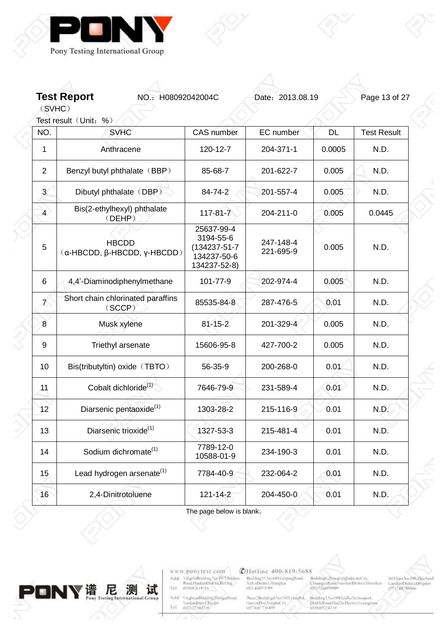

**Test Report NO.: H08092042004C** Date: 2013.08.19 Page 13 of 27

(SVHC)

Z

 $\begin{array}{c} \diagup \\ \diagdown \end{array}$ 

| Test result (Unit: %) |                                                      |                                                                        |                        |           |                    |  |
|-----------------------|------------------------------------------------------|------------------------------------------------------------------------|------------------------|-----------|--------------------|--|
| NÓ.                   | <b>SVHC</b>                                          | <b>CAS</b> number                                                      | EC number              | <b>DL</b> | <b>Test Result</b> |  |
| 1                     | Anthracene                                           | 120-12-7                                                               | 204-371-1              | 0.0005    | N.D.               |  |
| $\overline{2}$        | Benzyl butyl phthalate (BBP)                         | 85-68-7                                                                | 201-622-7              | 0.005     | N.D.               |  |
| $\overline{3}$        | Dibutyl phthalate (DBP)                              | 84-74-2                                                                | 201-557-4              | 0.005     | N.D.               |  |
| $\overline{4}$        | Bis(2-ethylhexyl) phthalate<br>(DEHP)                | $117 - 81 - 7$                                                         | 204-211-0              | 0.005     | 0.0445             |  |
| 5                     | <b>HBCDD</b><br>$(α$ -HBCDD, $β$ -HBCDD, $γ$ -HBCDD) | 25637-99-4<br>3194-55-6<br>(134237-51-7<br>134237-50-6<br>134237-52-8) | 247-148-4<br>221-695-9 | 0.005     | N.D.               |  |
| 6                     | 4,4'-Diaminodiphenylmethane                          | 101-77-9                                                               | 202-974-4              | 0.005     | N.D.               |  |
| $\mathcal{T}$         | Short chain chlorinated paraffins<br>(SCCP)          | 85535-84-8                                                             | 287-476-5              | 0.01      | N.D.               |  |
| $\overline{8}$        | Musk xylene                                          | $81 - 15 - 2$                                                          | 201-329-4              | 0.005     | N.D.               |  |
| 9                     | Triethyl arsenate                                    | 15606-95-8                                                             | 427-700-2              | 0.005     | N.D.               |  |
| 10                    | Bis(tributyltin) oxide (TBTO)                        | 56-35-9                                                                | 200-268-0              | 0.01      | N.D.               |  |
| 11                    | Cobalt dichloride <sup>(1)</sup>                     | 7646-79-9                                                              | 231-589-4              | 0.01      | N.D.               |  |
| 12                    | Diarsenic pentaoxide <sup>(1)</sup>                  | 1303-28-2                                                              | 215-116-9              | 0.01      | N.D.               |  |
| 13                    | Diarsenic trioxide <sup>(1)</sup>                    | 1327-53-3                                                              | 215-481-4              | 0.01      | N.D.               |  |
| 14                    | Sodium dichromate <sup>(1)</sup>                     | 7789-12-0<br>10588-01-9                                                | 234-190-3              | 0.01      | N.D.               |  |
| 15                    | Lead hydrogen arsenate <sup>(1)</sup>                | 7784-40-9                                                              | 232-064-2              | 0.01      | N.D.               |  |
| 16                    | 2,4-Dinitrotoluene                                   | $121 - 14 - 2$                                                         | 204-450-0              | 0.01      | N.D.               |  |
|                       |                                                      |                                                                        |                        |           |                    |  |

The page below is blank。



www.ponytest.com  $\begin{tabular}{l|c} Add:~YingphBokbing Na 49-78004000\\ \hline \textbf{Rood} HaidimDistriu, Beting, \\ Tel: & 010082618116 \\ \end{tabular}$ 

Add<sup>2</sup> YinghuanBinkling.HongqiRoad, Nanknidistrict Turque<br>Tel 002107360730

**@Hotline 400-819-5688** 

Building35.No.680.GrapingBoad.<br>XultaiDismict.Shanghai<br>(021)64851599

Broldings. ZhongxingIndustryCity,<br>ChuangyeRoud/NarshanDistrict/Shenzhin<br>(0755)26050909  $\begin{tabular}{l|c|c|c} {\tt Max2-BolidingA, No150XinkingBd}, & {\tt Balling1, No180HzZlu/Tectmapsak}, \\ {\tt GiaexinDist/NingfocCity}, & {\tt PiniFelkcoilHaZlu/DeBsmctJoswazz} \\ (0574387736499 & (020389224310) \\ \end{tabular}$ 

021 loor, No. 100, Zijuzhoul<br>LaoshanDistrict, Qingdao<br>10532, 88706866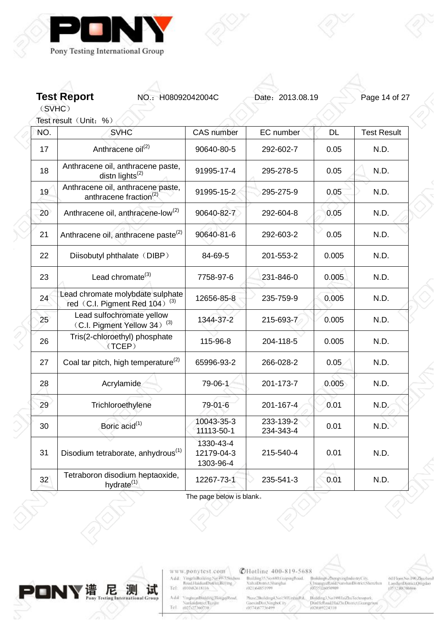

**Test Report NO.: H08092042004C** Date: 2013.08.19 Page 14 of 27

(SVHC) Test result (Unit: %)

 $\begin{array}{c} \diagup \\ \diagdown \end{array}$ 

| NÓ.             | <b>SVHC</b>                                                                   | <b>CAS</b> number                    | EC number              | <b>DL</b> | <b>Test Result</b> |
|-----------------|-------------------------------------------------------------------------------|--------------------------------------|------------------------|-----------|--------------------|
| 17              | Anthracene oil <sup>(2)</sup>                                                 | 90640-80-5                           | 292-602-7              | 0.05      | N.D.               |
| 18              | Anthracene oil, anthracene paste,<br>distn lights $^{(2)}$                    | 91995-17-4                           | 295-278-5              | 0.05      | N.D.               |
| 19              | Anthracene oil, anthracene paste,<br>anthracene fraction <sup>(2)</sup>       | 91995-15-2                           | 295-275-9              | 0.05      | N.D.               |
| 20              | Anthracene oil, anthracene-low <sup>(2)</sup>                                 | 90640-82-7                           | 292-604-8              | 0.05      | N.D.               |
| 21              | Anthracene oil, anthracene paste <sup>(2)</sup>                               | 90640-81-6                           | 292-603-2              | 0.05      | N.D.               |
| 22              | Diisobutyl phthalate (DIBP)                                                   | 84-69-5                              | 201-553-2              | 0.005     | N.D.               |
| 23              | Lead chromate $^{(3)}$                                                        | 7758-97-6                            | 231-846-0              | 0.005     | N.D.               |
| 24              | Lead chromate molybdate sulphate<br>red (C.I. Pigment Red 104) <sup>(3)</sup> | 12656-85-8                           | 235-759-9              | 0.005     | N.D.               |
| 25              | Lead sulfochromate yellow<br>(C.I. Pigment Yellow 34) <sup>(3)</sup>          | 1344-37-2                            | 215-693-7              | 0.005     | N.D.               |
| 26              | Tris(2-chloroethyl) phosphate<br>(TCEP)                                       | 115-96-8                             | 204-118-5              | 0.005     | N.D.               |
| 27              | Coal tar pitch, high temperature <sup>(2)</sup>                               | 65996-93-2                           | 266-028-2              | 0.05      | N.D.               |
| 28              | Acrylamide                                                                    | 79-06-1                              | 201-173-7              | 0.005     | N.D.               |
| 29              | Trichloroethylene                                                             | 79-01-6                              | 201-167-4              | 0.01      | N.D.               |
| 30              | Boric acid <sup>(1)</sup>                                                     | 10043-35-3<br>11113-50-1             | 233-139-2<br>234-343-4 | 0.01      | N.D.               |
| 31              | Disodium tetraborate, anhydrous <sup>(1)</sup>                                | 1330-43-4<br>12179-04-3<br>1303-96-4 | 215-540-4              | 0.01      | N.D.               |
| 32 <sup>2</sup> | Tetraboron disodium heptaoxide,<br>hydrate <sup>(1)</sup>                     | 12267-73-1                           | 235-541-3              | 0.01      | N.D.               |

The page below is blank。



www.ponytest.com  $\begin{tabular}{ll} Add: & \textbf{YingzhBoshting Na 49-786idou} \\ Recall that Distriu, Belling \\ Tel: & 010032618116 \\ \end{tabular}$ 

Add<sup>2</sup> VinghuanBinkling, HongqiRoad, Nanknidistrict Turque<br>Tel 002107360730

**@Hotline 400-819-5688** 

Building55.No.680.GrapingBoad.<br>XuhaiDismict.Shanghai<br>(021)64851999

 $\substack{\text{Mass:2Buiding 4.No150X inbinf}\\\text{GaoxinDist:Ningfootity}{\text{G0574367736499}}}$ Building3, No 1801 IniZhuTechnopark,<br>DinHellond,HaiZhiDismct.Georgen<br>(020:89224310

Broldings. ZhongxingIndustryCity,<br>ChramgeeRord/NarshanDistrict/Shenzhen<br>(0755)26050909

001Floor:No.190,Zijuzhoul<br>LaoshanDistrict,Qingdao<br>10532,88706866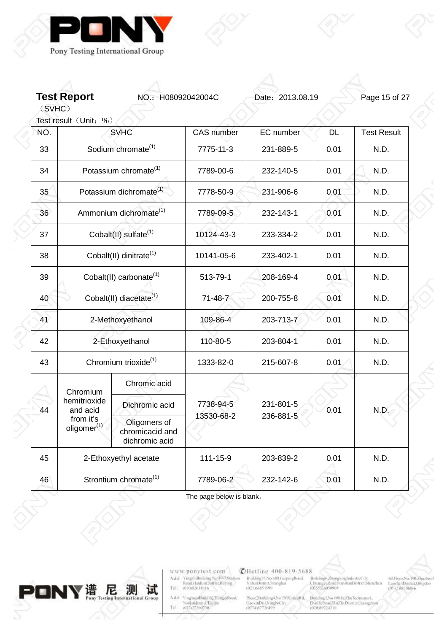

**Test Report NO.: H08092042004C** Date: 2013.08.19 Page 15 of 27

(SVHC)

|                                      | Test result (Unit: %)                                                   |                                                   |                   |           |                        |                    |      |
|--------------------------------------|-------------------------------------------------------------------------|---------------------------------------------------|-------------------|-----------|------------------------|--------------------|------|
| NÓ.                                  |                                                                         | <b>SVHC</b>                                       | <b>CAS</b> number | EC number | <b>DL</b>              | <b>Test Result</b> |      |
| 33                                   |                                                                         | Sodium chromate <sup>(1)</sup>                    | 7775-11-3         | 231-889-5 | 0.01                   | N.D.               |      |
| 34                                   |                                                                         | Potassium chromate <sup>(1)</sup>                 | 7789-00-6         | 232-140-5 | 0.01                   | N.D.               |      |
| 35                                   |                                                                         | Potassium dichromate <sup>(1)</sup>               | 7778-50-9         | 231-906-6 | 0.01                   | N.D.               |      |
| 36                                   | Ammonium dichromate <sup>(1)</sup><br>Cobalt(II) sulfate <sup>(1)</sup> |                                                   | 7789-09-5         | 232-143-1 | 0.01                   | N.D.               |      |
| 37                                   |                                                                         |                                                   | 10124-43-3        | 233-334-2 | 0.01                   | N.D.               |      |
| 38                                   |                                                                         | Cobalt(II) dinitrate <sup>(1)</sup>               | 10141-05-6        | 233-402-1 | 0.01                   | N.D.               |      |
| 39                                   |                                                                         | Cobalt(II) carbonate <sup>(1)</sup>               | 513-79-1          | 208-169-4 | 0.01                   | N.D.               |      |
| 40                                   |                                                                         | Cobalt(II) diacetate <sup>(1)</sup>               | $71 - 48 - 7$     | 200-755-8 | 0.01                   | N.D.               |      |
| 41                                   |                                                                         | 2-Methoxyethanol                                  | 109-86-4          | 203-713-7 | 0.01                   | N.D.               |      |
| 42                                   |                                                                         | 2-Ethoxyethanol                                   | 110-80-5          | 203-804-1 | 0.01                   | N.D.               |      |
| 43                                   | Chromium trioxide <sup>(1)</sup>                                        |                                                   | 1333-82-0         | 215-607-8 | 0.01                   | N.D.               |      |
|                                      | Chromium                                                                | Chromic acid                                      |                   |           |                        |                    |      |
| 44                                   | hemitrioxide<br>and acid                                                | Dichromic acid                                    | 7738-94-5         |           | 231-801-5<br>236-881-5 | 0.01               | N.D. |
| from it's<br>oligomer <sup>(1)</sup> |                                                                         | Oligomers of<br>chromicacid and<br>dichromic acid | 13530-68-2        |           |                        |                    |      |
| 45                                   |                                                                         | 2-Ethoxyethyl acetate                             | 111-15-9          | 203-839-2 | 0.01                   | N.D.               |      |
| 46                                   |                                                                         | Strontium chromate <sup>(1)</sup>                 | 7789-06-2         | 232-142-6 | 0.01                   | N.D.               |      |

测 PONY # 尼 试 **Testing Internations** 

www.ponytest.com  $\begin{tabular}{l|c} Add:~YingphBokbing Na 49-78004000\\ \hline \textbf{Rood} HaidimDistriu, Beting, \\ Tel: & 010082618116 \\ \end{tabular}$ 

Add<sup>2</sup> YinghuanBinkling.HongqiRoad, Nanknidistrict Turque<br>Tel 002107360730

**@Hotline 400-819-5688** 

Building35.No.680.GrapingBoad.<br>XultaiDismict.Shanghai<br>(021)64851599

 $\begin{tabular}{l|c|c|c} {\tt Max2-BolidingA, No150XinkingBd}, & {\tt Balling1, No180HzZlu/Tectmapsak}, \\ {\tt GiaexinDist/NingfocCity}, & {\tt PiniFelkcoilHaZlu/DeBsmctJoswazz} \\ (0574387736499 & (020389224310) \\ \end{tabular}$ 

Broldings. ZhongxingIndustryCity,<br>ChuangyeRoud/NarshanDistrict/Shenzhin<br>(0755)26050909

001Floor:No.190,Zijuzhoul<br>LaoshanDistrict,Qingdao<br>10532,88706866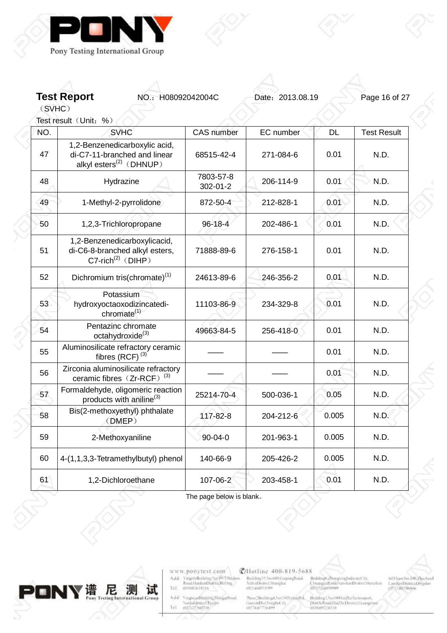

**Test Report NO.: H08092042004C** Date: 2013.08.19 Page 16 of 27

(SVHC) Test result (Unit: %)

 $\begin{array}{c} \diagup \\ \diagdown \end{array}$ 

| NÓ. | <b>SVHC</b>                                                                                          | <b>CAS</b> number     | EC number | <b>DL</b> | <b>Test Result</b> |
|-----|------------------------------------------------------------------------------------------------------|-----------------------|-----------|-----------|--------------------|
| 47  | 1,2-Benzenedicarboxylic acid,<br>di-C7-11-branched and linear<br>alkyl esters <sup>(2)</sup> (DHNUP) | 68515-42-4            | 271-084-6 | 0.01      | N.D.               |
| 48  | Hydrazine                                                                                            | 7803-57-8<br>302-01-2 | 206-114-9 | 0.01      | N.D.               |
| 49  | 1-Methyl-2-pyrrolidone                                                                               | 872-50-4              | 212-828-1 | 0.01      | N.D.               |
| 50  | 1,2,3-Trichloropropane                                                                               | $96 - 18 - 4$         | 202-486-1 | 0.01      | N.D.               |
| 51  | 1,2-Benzenedicarboxylicacid,<br>di-C6-8-branched alkyl esters,<br>$C7$ -rich <sup>(2)</sup> (DIHP)   | 71888-89-6            | 276-158-1 | 0.01      | N.D.               |
| 52  | Dichromium tris(chromate) <sup>(1)</sup>                                                             | 24613-89-6            | 246-356-2 | 0.01      | N.D.               |
| 53  | Potassium<br>hydroxyoctaoxodizincatedi-<br>chromate <sup>(1)</sup>                                   | 11103-86-9            | 234-329-8 | 0.01      | N.D.               |
| 54  | Pentazinc chromate<br>octahydroxide <sup>(3)</sup>                                                   | 49663-84-5            | 256-418-0 | 0.01      | N.D.               |
| 55  | Aluminosilicate refractory ceramic<br>fibres (RCF) $(3)$                                             |                       |           | 0.01      | N.D.               |
| 56  | Zirconia aluminosilicate refractory<br>ceramic fibres $(Zr-RCF)^{(3)}$                               |                       |           | 0.01      | N.D.               |
| 57  | Formaldehyde, oligomeric reaction<br>products with aniline <sup>(3)</sup>                            | 25214-70-4            | 500-036-1 | 0.05      | N.D.               |
| 58  | Bis(2-methoxyethyl) phthalate<br>(DMEP)                                                              | 117-82-8              | 204-212-6 | 0.005     | N.D.               |
| 59  | 2-Methoxyaniline                                                                                     | $90 - 04 - 0$         | 201-963-1 | 0.005     | N.D.               |
| 60  | 4-(1,1,3,3-Tetramethylbutyl) phenol                                                                  | 140-66-9              | 205-426-2 | 0.005     | N.D.               |
| 61  | 1,2-Dichloroethane                                                                                   | 107-06-2              | 203-458-1 | 0.01      | N.D.               |

The page below is blank。



www.ponytest.com  $\begin{tabular}{l|c} Add:~YingphBokbing Na 49-78004000\\ \hline \textbf{Rood} HaidimDistriu, Beting, \\ Tel: & 010082618116 \\ \end{tabular}$ 

Add<sup>2</sup> VinghuanBinkling, HongqiRoad, Nanknidistrict Turque<br>Tel 002107360730

**@Hotline 400-819-5688** 

Building35.No.680.GrapingBoad.<br>XultaiDismict.Shanghai<br>(021)64851599

 $\begin{tabular}{l|c|c|c} \textbf{Nase/Boilding1,No150X inthinRd.} & \textbf{Bulding1,No180HmZhuTeetmopusab.} \\ \textbf{GaeximDtst,NingboC it} & \textbf{Dimf1stRoullHaZluDtsmctJosargza} \\ \textbf{0.57483736499} & \textbf{0.0089224310} \end{tabular}$ 

Broldings. ZhongxingIndustryCity,<br>ChramgeeRord/NarshanDistrict/Shenzhen<br>(0755)26050909

001Floor:No.190,Zijuzhoul<br>LaoshanDistrict,Qingdao<br>10532,88706866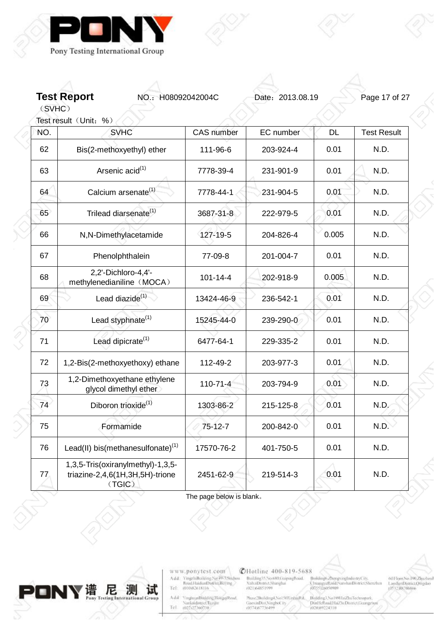

**Test Report NO.: H08092042004C** Date: 2013.08.19 Page 17 of 27

(SVHC) Test result (Unit: %)

 $\begin{array}{c} 0 \\ 0 \end{array}$ 

| NO. | <b>SVHC</b>                                                                    | <b>CAS</b> number | EC number | <b>DL</b> | <b>Test Result</b> |
|-----|--------------------------------------------------------------------------------|-------------------|-----------|-----------|--------------------|
| 62  | Bis(2-methoxyethyl) ether                                                      | 111-96-6          | 203-924-4 | 0.01      | N.D.               |
| 63  | Arsenic acid <sup>(1)</sup>                                                    | 7778-39-4         | 231-901-9 | 0.01      | N.D.               |
| 64  | Calcium arsenate <sup>(1)</sup>                                                | 7778-44-1         | 231-904-5 | 0.01      | N.D.               |
| 65  | Trilead diarsenate <sup>(1)</sup>                                              | 3687-31-8         | 222-979-5 | 0.01      | N.D.               |
| 66  | N,N-Dimethylacetamide                                                          | 127-19-5          | 204-826-4 | 0.005     | N.D.               |
| 67  | Phenolphthalein                                                                | 77-09-8           | 201-004-7 | 0.01      | N.D.               |
| 68  | 2,2'-Dichloro-4,4'-<br>methylenedianiline (MOCA)                               | $101 - 14 - 4$    | 202-918-9 | 0.005     | N.D.               |
| 69  | Lead diazide <sup>(1)</sup>                                                    | 13424-46-9        | 236-542-1 | 0.01      | N.D.               |
| 70  | Lead styphnate <sup>(1)</sup>                                                  | 15245-44-0        | 239-290-0 | 0.01      | N.D.               |
| 71  | Lead dipicrate <sup>(1)</sup>                                                  | 6477-64-1         | 229-335-2 | 0.01      | N.D.               |
| 72  | 1,2-Bis(2-methoxyethoxy) ethane                                                | 112-49-2          | 203-977-3 | 0.01      | N.D.               |
| 73  | 1,2-Dimethoxyethane ethylene<br>glycol dimethyl ether                          | 110-71-4          | 203-794-9 | 0.01      | N.D.               |
| 74  | Diboron trioxide <sup>(1)</sup>                                                | 1303-86-2         | 215-125-8 | 0.01      | N.D.               |
| 75  | Formamide                                                                      | $75 - 12 - 7$     | 200-842-0 | 0.01      | N.D.               |
| 76  | Lead(II) bis(methanesulfonate) <sup>(1)</sup>                                  | 17570-76-2        | 401-750-5 | 0.01      | N.D.               |
| 77  | 1,3,5-Tris(oxiranylmethyl)-1,3,5-<br>triazine-2,4,6(1H,3H,5H)-trione<br>(TGIC) | 2451-62-9         | 219-514-3 | 0.01      | N.D.               |

The page below is blank。



www.ponytest.com  $\begin{tabular}{l|c} Add:~YingphBokbing Na 49-78004000\\ \hline \textbf{Rood} HaidimDistriu, Beting, \\ Tel: & 010082618116 \\ \end{tabular}$ 

Add<sup>2</sup> VinghuanBinkling, HongqiRoad, Nanknidistrict Turque<br>Tel 002107360730

**@Hotline 400-819-5688** 

Building55.No.680.GrapingBoad.<br>XuhaiDismict.Shanghai<br>(021)64851999

 $\substack{\text{Mass:2Buiding 4.No150X inbinf}\\\text{GaoxinDist:Ningfootity}{\text{G0574367736499}}}$ Building3, No 1801 IniZhuTechnopark,<br>DinHellond,HaiZhiDismct.Georgen<br>(020:89224310

Broldings ZhongxingIndustryCity,<br>ChuangyeRoud NarshanDistrict Shenzhin<br>(0755)26050909

001Floor:No.190,Zijuzhoul<br>LaoshanDistrict,Qingdao<br>10532,88706866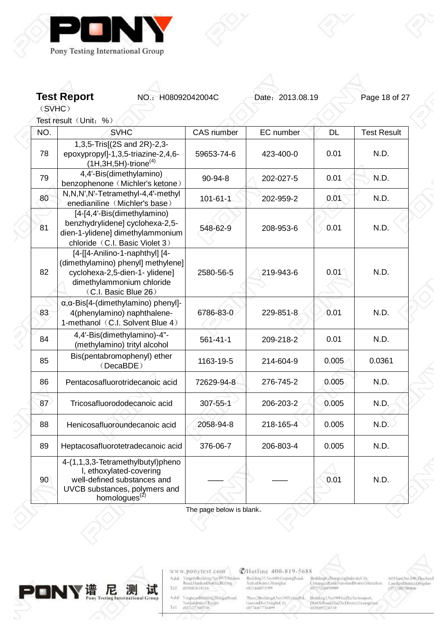



Test result (Unit: %)

| NÓ. | <b>SVHC</b>                                                                                                                                                 | <b>CAS</b> number | EC number | <b>DL</b> | <b>Test Result</b> |  |
|-----|-------------------------------------------------------------------------------------------------------------------------------------------------------------|-------------------|-----------|-----------|--------------------|--|
| 78  | 1,3,5-Tris[(2S and 2R)-2,3-<br>epoxypropyl]-1,3,5-triazine-2,4,6-<br>$(1H, 3H, 5H)$ -trione <sup>(4)</sup>                                                  | 59653-74-6        | 423-400-0 | 0.01      | N.D.               |  |
| 79  | 4,4'-Bis(dimethylamino)<br>benzophenone (Michler's ketone)                                                                                                  | 90-94-8           | 202-027-5 | 0.01      | N.D.               |  |
| 80  | N,N,N',N'-Tetramethyl-4,4'-methyl<br>enedianiline (Michler's base)                                                                                          | $101 - 61 - 1$    | 202-959-2 | 0.01      | N.D.               |  |
| 81  | [4-[4,4'-Bis(dimethylamino)<br>benzhydrylidene] cyclohexa-2,5-<br>dien-1-ylidene] dimethylammonium<br>chloride (C.I. Basic Violet 3)                        | 548-62-9          | 208-953-6 | 0.01      | N.D.               |  |
| 82  | [4-[[4-Anilino-1-naphthyl] [4-<br>(dimethylamino) phenyl] methylene]<br>cyclohexa-2,5-dien-1- ylidene]<br>dimethylammonium chloride<br>(C.I. Basic Blue 26) | 2580-56-5         | 219-943-6 | 0.01      | N.D.               |  |
| 83  | $\alpha$ , $\alpha$ -Bis[4-(dimethylamino) phenyl]-<br>4(phenylamino) naphthalene-<br>1-methanol (C.I. Solvent Blue 4)                                      | 6786-83-0         | 229-851-8 | 0.01      | N.D.               |  |
| 84  | 4,4'-Bis(dimethylamino)-4"-<br>(methylamino) trityl alcohol                                                                                                 | $561 - 41 - 1$    | 209-218-2 | 0.01      | N.D.               |  |
| 85  | Bis(pentabromophenyl) ether<br>(DecaBDE)                                                                                                                    | 1163-19-5         | 214-604-9 | 0.005     | 0.0361             |  |
| 86  | Pentacosafluorotridecanoic acid                                                                                                                             | 72629-94-8        | 276-745-2 | 0.005     | N.D.               |  |
| 87  | Tricosafluorododecanoic acid                                                                                                                                | 307-55-1          | 206-203-2 | 0.005     | N.D.               |  |
| 88  | Henicosafluoroundecanoic acid                                                                                                                               | 2058-94-8         | 218-165-4 | 0.005     | N.D.               |  |
| 89  | Heptacosafluorotetradecanoic acid                                                                                                                           | 376-06-7          | 206-803-4 | 0.005     | N.D.               |  |
| 90  | 4-(1,1,3,3-Tetramethylbutyl)pheno<br>I, ethoxylated-covering<br>well-defined substances and<br>UVCB substances, polymers and<br>homologues <sup>(2)</sup>   |                   |           | 0.01      | N.D.               |  |

The page below is blank。



www.ponytest.com  $\begin{tabular}{l|c} Add:~YingphBokbing Na 49-78004000\\ \hline \textbf{Rood} HaidimDistriu, Beting, \\ Tel: & 010082618116 \\ \end{tabular}$ 

Add<sup>2</sup> YinghuanBinkling.HongqiRoad, Nanknidistrict Turque<br>Tel 002107360730

**@Hotline 400-819-5688** 

Building35.No.680.GrapingBoad.<br>XultaiDismict.Shanghai<br>(021)64851599

Broldings ZhongxingIndustryCity,<br>ChuangyeRoud NarshanDistrict Shenzhin<br>(0755)26050909

001Floor:No.190,Zijuzhoul<br>LaoshanDistrict,Qingdao<br>10532,88706866

 $\substack{\text{Mass:2Buiding 4.No150X inbinf}\\\text{GaoxinDist:Ningfootity}{\text{G0574367736499}}}$ Building3, No 1801 IniZhuTechnopark,<br>DinHellond,HaiZhiDismct.Georgen<br>(020:89224310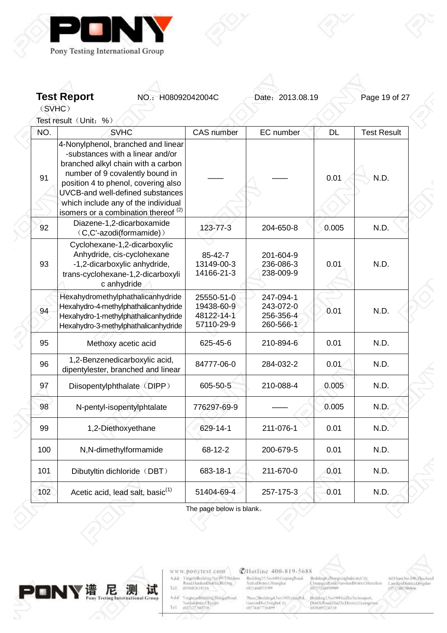

**Test Report NO.: H08092042004C** Date: 2013.08.19 Page 19 of 27

(SVHC)

Test result (Unit: %)

| NÓ. | <b>SVHC</b>                                                                                                                                                                                                                                                                                                          | <b>CAS</b> number                                    | EC number                                        | <b>DL</b> | <b>Test Result</b> |
|-----|----------------------------------------------------------------------------------------------------------------------------------------------------------------------------------------------------------------------------------------------------------------------------------------------------------------------|------------------------------------------------------|--------------------------------------------------|-----------|--------------------|
| 91  | 4-Nonylphenol, branched and linear<br>-substances with a linear and/or<br>branched alkyl chain with a carbon<br>number of 9 covalently bound in<br>position 4 to phenol, covering also<br>UVCB-and well-defined substances<br>which include any of the individual<br>isomers or a combination thereof <sup>(2)</sup> |                                                      |                                                  | 0.01      | N.D.               |
| 92  | Diazene-1,2-dicarboxamide<br>(C,C'-azodi(formamide))                                                                                                                                                                                                                                                                 | 123-77-3                                             | 204-650-8                                        | 0.005     | N.D.               |
| 93  | Cyclohexane-1,2-dicarboxylic<br>Anhydride, cis-cyclohexane<br>-1,2-dicarboxylic anhydride,<br>trans-cyclohexane-1,2-dicarboxyli<br>c anhydride                                                                                                                                                                       | 85-42-7<br>13149-00-3<br>14166-21-3                  | 201-604-9<br>236-086-3<br>238-009-9              | 0.01      | N.D.               |
| 94  | Hexahydromethylphathalicanhydride<br>Hexahydro-4-methylphathalicanhydride<br>Hexahydro-1-methylphathalicanhydride<br>Hexahydro-3-methylphathalicanhydride                                                                                                                                                            | 25550-51-0<br>19438-60-9<br>48122-14-1<br>57110-29-9 | 247-094-1<br>243-072-0<br>256-356-4<br>260-566-1 | 0.01      | N.D.               |
| 95  | Methoxy acetic acid                                                                                                                                                                                                                                                                                                  | 625-45-6                                             | 210-894-6                                        | 0.01      | N.D.               |
| 96  | 1,2-Benzenedicarboxylic acid,<br>dipentylester, branched and linear                                                                                                                                                                                                                                                  | 84777-06-0                                           | 284-032-2                                        | 0.01      | N.D.               |
| 97  | Diisopentylphthalate (DIPP)                                                                                                                                                                                                                                                                                          | 605-50-5                                             | 210-088-4                                        | 0.005     | N.D.               |
| 98  | N-pentyl-isopentylphtalate                                                                                                                                                                                                                                                                                           | 776297-69-9                                          |                                                  | 0.005     | N.D.               |
| 99  | 1,2-Diethoxyethane                                                                                                                                                                                                                                                                                                   | 629-14-1                                             | 211-076-1                                        | 0.01      | N.D.               |
| 100 | N,N-dimethylformamide                                                                                                                                                                                                                                                                                                | 68-12-2                                              | 200-679-5                                        | 0.01      | N.D.               |
| 101 | Dibutyltin dichloride (DBT)                                                                                                                                                                                                                                                                                          | 683-18-1                                             | 211-670-0                                        | 0.01      | N.D.               |
| 102 | Acetic acid, lead salt, basic <sup>(1)</sup>                                                                                                                                                                                                                                                                         | 51404-69-4                                           | 257-175-3                                        | 0.01      | N.D.               |
|     |                                                                                                                                                                                                                                                                                                                      |                                                      |                                                  |           |                    |

The page below is blank。



www.ponytest.com  $\begin{tabular}{l|c} Add:~YingphBokbing Na 49-78004000\\ \hline \textbf{Rood} HaidimDistriu, Beting, \\ Tel: & 010082618116 \\ \end{tabular}$ 

Add: YinghuanBhilding,HongqiRood<br>| Nanknidistrici Tuzijin<br>|Tel | 002127360730

**@Hotline 400-819-5688** Building35.No.680.GrapingBoad.<br>XultaiDismict.Shanghai<br>(021)64851599

 $\substack{\text{Mass:2Buiding 4.No150X inbinf}\\\text{GaoxinDist:Ningfootity}{\text{G0574367736499}}}$ Building3, No 1801 IniZhuTechnopark,<br>DinHellond,HaiZhiDismct.Georgen<br>(020:89224310

Broldings ZhongxingIndustryCity,<br>ChuangyeRoud NarshanDistrict Shenzhin<br>(0755)26050909

021 loor, No. 100, Zijuzhoul<br>LaoshanDistrict, Qingdao<br>10532, 88706866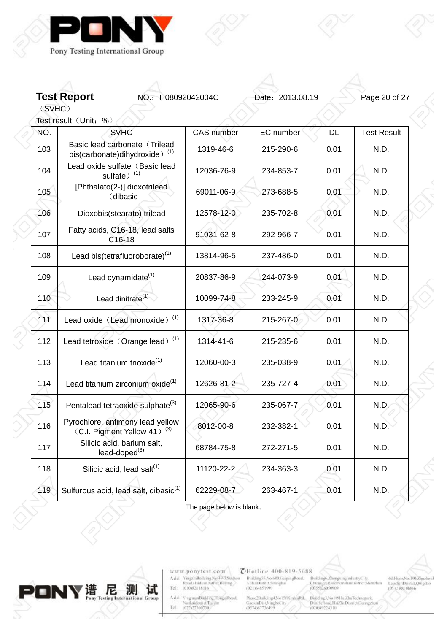



Test result (Unit: %)

| NÓ. | <b>SVHC</b>                                                                 | <b>CAS</b> number | EC number | <b>DL</b> | <b>Test Result</b> |
|-----|-----------------------------------------------------------------------------|-------------------|-----------|-----------|--------------------|
| 103 | Basic lead carbonate (Trilead<br>bis(carbonate)dihydroxide) <sup>(1)</sup>  | 1319-46-6         | 215-290-6 | 0.01      | N.D.               |
| 104 | Lead oxide sulfate (Basic lead<br>sulfate) $(1)$                            | 12036-76-9        | 234-853-7 | 0.01      | N.D.               |
| 105 | [Phthalato(2-)] dioxotrilead<br>(dibasic                                    | 69011-06-9        | 273-688-5 | 0.01      | N.D.               |
| 106 | Dioxobis(stearato) trilead                                                  | 12578-12-0        | 235-702-8 | 0.01      | N.D.               |
| 107 | Fatty acids, C16-18, lead salts<br>$C16-18$                                 | 91031-62-8        | 292-966-7 | 0.01      | N.D.               |
| 108 | Lead bis(tetrafluoroborate) <sup>(1)</sup>                                  | 13814-96-5        | 237-486-0 | 0.01      | N.D.               |
| 109 | Lead cynamidate <sup>(1)</sup>                                              | 20837-86-9        | 244-073-9 | 0.01      | N.D.               |
| 110 | Lead dinitrate <sup>(1)</sup>                                               | 10099-74-8        | 233-245-9 | 0.01      | N.D.               |
| 111 | Lead oxide (Lead monoxide) <sup>(1)</sup>                                   | 1317-36-8         | 215-267-0 | 0.01      | N.D.               |
| 112 | Lead tetroxide (Orange lead) <sup>(1)</sup>                                 | 1314-41-6         | 215-235-6 | 0.01      | N.D.               |
| 113 | Lead titanium trioxide <sup>(1)</sup>                                       | 12060-00-3        | 235-038-9 | 0.01      | N.D.               |
| 114 | Lead titanium zirconium oxide <sup>(1)</sup>                                | 12626-81-2        | 235-727-4 | 0.01      | N.D.               |
| 115 | Pentalead tetraoxide sulphate <sup>(3)</sup>                                | 12065-90-6        | 235-067-7 | 0.01      | N.D.               |
| 116 | Pyrochlore, antimony lead yellow<br>(C.I. Pigment Yellow 41) <sup>(3)</sup> | 8012-00-8         | 232-382-1 | 0.01      | N.D.               |
| 117 | Silicic acid, barium salt,<br>lead-doped <sup>(3)</sup>                     | 68784-75-8        | 272-271-5 | 0.01      | N.D.               |
| 118 | Silicic acid, lead salt <sup>(1)</sup>                                      | 11120-22-2        | 234-363-3 | 0.01      | N.D.               |
| 119 | Sulfurous acid, lead salt, dibasic <sup>(1)</sup>                           | 62229-08-7        | 263-467-1 | 0.01      | N.D.               |
|     |                                                                             |                   |           |           |                    |

The page below is blank。



www.ponytest.com  $\begin{tabular}{l|c} Add:~YingphBokbing Na 49-78004000\\ \hline \textbf{Rood} HaidimDistriu, Beting, \\ Tel: & 010082618116 \\ \end{tabular}$ 

Add<sup>2</sup> VinghuanBinkling, HongqiRoad, Nanknidistrict Turque<br>Tel 002107360730

**@Hotline 400-819-5688** 

Building55.No.680.GrapingBoad.<br>XuhaiDismict.Shanghai<br>(021)64851999

 $\begin{minipage}{.09\linewidth} \begin{minipage}{.45\linewidth} \textbf{Max} & \textbf{36} & \textbf{36} & \textbf{56} \\ \textbf{GaoximDist(Ningbot))} & \textbf{0874} & \textbf{0874} & \textbf{088} \\ \textbf{0874} & \textbf{0874} & \textbf{088} & \textbf{088} \\ \textbf{0874} & \textbf{088} & \textbf{088} & \textbf{088} \\ \textbf{088} & \textbf{088} & \textbf{088} & \textbf{088} \\ \textbf{088}$ Building3, No 1801 IniZhuTechnopark,<br>DinHelband HaiZhi District Guanget<br>(020 80224310

Broldings ZhongxingIndustryCity,<br>ChuangyeRoud NarshanDistrict Shenzhin<br>(0755)26050909

001Floor:No.190,Zijuzhoul<br>LaoshanDistrict,Qingdao<br>10532,88706866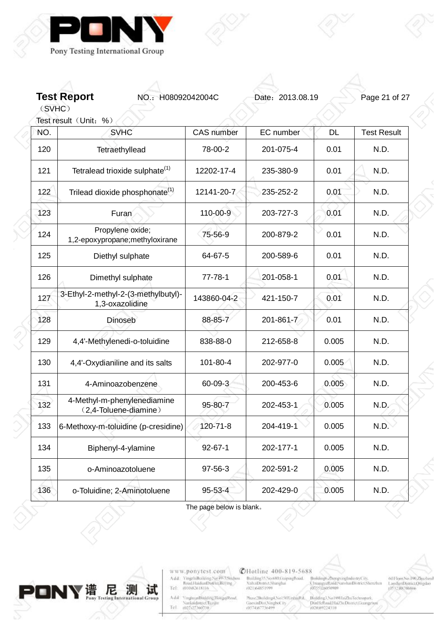

**Test Report NO.: H08092042004C** Date: 2013.08.19 Page 21 of 27

(SVHC)

 $\begin{array}{c} 0 \\ 0 \end{array}$ 

|     | Test result (Unit: %)                                  |                   |           |           |                    |
|-----|--------------------------------------------------------|-------------------|-----------|-----------|--------------------|
| NÓ. | <b>SVHC</b>                                            | <b>CAS</b> number | EC number | <b>DL</b> | <b>Test Result</b> |
| 120 | Tetraethyllead                                         | 78-00-2           | 201-075-4 | 0.01      | N.D.               |
| 121 | Tetralead trioxide sulphate <sup>(1)</sup>             | 12202-17-4        | 235-380-9 | 0.01      | N.D.               |
| 122 | Trilead dioxide phosphonate <sup>(1)</sup>             | 12141-20-7        | 235-252-2 | 0.01      | N.D.               |
| 123 | Furan                                                  | 110-00-9          | 203-727-3 | 0.01      | N.D.               |
| 124 | Propylene oxide;<br>1,2-epoxypropane;methyloxirane     | 75-56-9           | 200-879-2 | 0.01      | N.D.               |
| 125 | Diethyl sulphate                                       | 64-67-5           | 200-589-6 | 0.01      | N.D.               |
| 126 | Dimethyl sulphate                                      | $77 - 78 - 1$     | 201-058-1 | 0.01      | N.D.               |
| 127 | 3-Ethyl-2-methyl-2-(3-methylbutyl)-<br>1,3-oxazolidine | 143860-04-2       | 421-150-7 | 0.01      | N.D.               |
| 128 | <b>Dinoseb</b>                                         | 88-85-7           | 201-861-7 | 0.01      | N.D.               |
| 129 | 4,4'-Methylenedi-o-toluidine                           | 838-88-0          | 212-658-8 | 0.005     | N.D.               |
| 130 | 4,4'-Oxydianiline and its salts                        | 101-80-4          | 202-977-0 | 0.005     | N.D.               |
| 131 | 4-Aminoazobenzene                                      | 60-09-3           | 200-453-6 | 0.005     | N.D.               |
| 132 | 4-Methyl-m-phenylenediamine<br>(2,4-Toluene-diamine)   | 95-80-7           | 202-453-1 | 0.005     | N.D.               |
| 133 | 6-Methoxy-m-toluidine (p-cresidine)                    | 120-71-8          | 204-419-1 | 0.005     | N.D.               |
| 134 | Biphenyl-4-ylamine                                     | $92 - 67 - 1$     | 202-177-1 | 0.005     | N.D.               |
| 135 | o-Aminoazotoluene                                      | $97 - 56 - 3$     | 202-591-2 | 0.005     | N.D.               |
| 136 | o-Toluidine; 2-Aminotoluene                            | $95 - 53 - 4$     | 202-429-0 | 0.005     | N.D.               |

The page below is blank。



www.ponytest.com  $\begin{tabular}{l|c} Add:~YingphBokbing Na 49-78004000\\ \hline \textbf{Rood} HaidimDistriu, Beting, \\ Tel: & 010082618116 \\ \end{tabular}$ 

Add<sup>2</sup> YinghuanBinkling.HongqiRoad, Nanknidistrict Turque<br>Tel 002107360730

**@Hotline 400-819-5688** 

Building35.No.680.GrapingBoad.<br>XultaiDismict.Shanghai<br>(021)64851599

 $\begin{tabular}{l|c|c|c} \textbf{Nase/Boilding1,No150X inthinRd.} & \textbf{Bulding1,No180HmZhuTeetmopusab.} \\ \textbf{GaeximDtst,NingboC it} & \textbf{Dimf1stRoullHaZluDtsmctJosargza} \\ \textbf{0.57483736499} & \textbf{0.0089224310} \end{tabular}$ 

Broldings. ZhongxingIndustryCity,<br>ChuangyeRoud/NarshanDistrict/Shenzhin<br>(0755)26050909

001Floor:No.190,Zijuzhoul<br>LaoshanDistrict,Qingdao<br>10532,88706866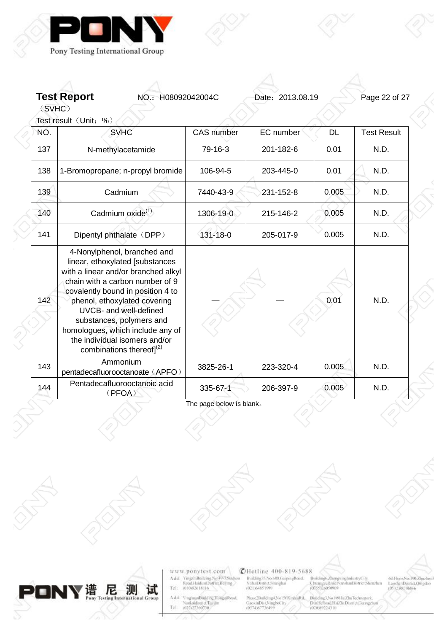

**Test Report NO.: H08092042004C** Date: 2013.08.19 Page 22 of 27

(SVHC) Test result (Unit: %)

| NÓ. | <b>SVHC</b>                                                                                                                                                                                                                                                                                                                                                                | <b>CAS</b> number | EC number | <b>DL</b> | <b>Test Result</b> |
|-----|----------------------------------------------------------------------------------------------------------------------------------------------------------------------------------------------------------------------------------------------------------------------------------------------------------------------------------------------------------------------------|-------------------|-----------|-----------|--------------------|
| 137 | N-methylacetamide                                                                                                                                                                                                                                                                                                                                                          | 79-16-3           | 201-182-6 | 0.01      | N.D.               |
| 138 | 1-Bromopropane; n-propyl bromide                                                                                                                                                                                                                                                                                                                                           | 106-94-5          | 203-445-0 | 0.01      | N.D.               |
| 139 | Cadmium                                                                                                                                                                                                                                                                                                                                                                    | 7440-43-9         | 231-152-8 | 0.005     | N.D.               |
| 140 | Cadmium oxide <sup>(1)</sup>                                                                                                                                                                                                                                                                                                                                               | 1306-19-0         | 215-146-2 | 0.005     | N.D.               |
| 141 | Dipentyl phthalate (DPP)                                                                                                                                                                                                                                                                                                                                                   | $131 - 18 - 0$    | 205-017-9 | 0.005     | N.D.               |
| 142 | 4-Nonylphenol, branched and<br>linear, ethoxylated [substances<br>with a linear and/or branched alkyl<br>chain with a carbon number of 9<br>covalently bound in position 4 to<br>phenol, ethoxylated covering<br>UVCB- and well-defined<br>substances, polymers and<br>homologues, which include any of<br>the individual isomers and/or<br>combinations thereof] $^{(2)}$ |                   |           | 0.01      | N.D.               |
| 143 | Ammonium<br>pentadecafluorooctanoate (APFO)                                                                                                                                                                                                                                                                                                                                | 3825-26-1         | 223-320-4 | 0.005     | N.D.               |
| 144 | Pentadecafluorooctanoic acid<br>(PFOA)                                                                                                                                                                                                                                                                                                                                     | 335-67-1          | 206-397-9 | 0.005     | N.D.               |

The page below is blank。



www.ponytest.com  $\begin{tabular}{l|c} Add:~YingphBokling Na 49-78004000\\ \hline \textbf{Rood} HamiltonDiffint, Berlin & \\ Tel: & 010082618116 \\ \end{tabular}$ 

VinghuanBinkling,HongqiRood,<br>Nanknidistrict,Tuzijin<br>(022-227360730) Add<sup>2</sup> Tel

# **@Hotline 400-819-5688**

Building55.No.680.GrapingBoad.<br>XuhaiDismict.Shanghai<br>(021)64851999

 $\begin{minipage}{.4\linewidth} \begin{minipage}{.4\linewidth} \textbf{Max} & \textbf{Nol} & \textbf{50} \\ \textbf{Gao} & \textbf{S0} \\ \textbf{0574} & \textbf{877} & \textbf{849} \\ \textbf{0674} & \textbf{879} \\ \end{minipage} \end{minipage}$ Mulding3.No189HaiZhuTechnopark<br>DinHelbouLHaiZhuDismct.George<br>(020/89224310

o<br>Broklings ZhongxirgIndustryCity,<br>ChuangyeReid/NarshanDistrict.Shenzhan<br>(0755)2p020409

001Floor,No.190,Zijuzhoul<br>LaoshanDistrict,Qingdao<br>j0532,88706866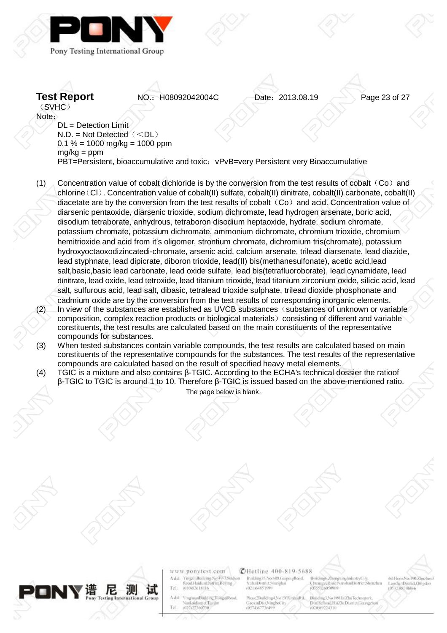



**Test Report NO.: H08092042004C** Date: 2013.08.19 Page 23 of 27

(SVHC) Note: DL = Detection Limit  $N.D. = Not Detection($ 

 $0.1 \% = 1000$  mg/kg = 1000 ppm  $mg/kg = ppm$ PBT=Persistent, bioaccumulative and toxic; vPvB=very Persistent very Bioaccumulative

- (1) Concentration value of cobalt dichloride is by the conversion from the test results of cobalt  $(Co)$  and chlorine(Cl). Concentration value of cobalt(II) sulfate, cobalt(II) dinitrate, cobalt(II) carbonate, cobalt(II) diacetate are by the conversion from the test results of cobalt  $(Co)$  and acid. Concentration value of diarsenic pentaoxide, diarsenic trioxide, sodium dichromate, lead hydrogen arsenate, boric acid, disodium tetraborate, anhydrous, tetraboron disodium heptaoxide, hydrate, sodium chromate, potassium chromate, potassium dichromate, ammonium dichromate, chromium trioxide, chromium hemitrioxide and acid from it's oligomer, strontium chromate, dichromium tris(chromate), potassium hydroxyoctaoxodizincatedi-chromate, arsenic acid, calcium arsenate, trilead diarsenate, lead diazide, lead styphnate, lead dipicrate, diboron trioxide, lead(II) bis(methanesulfonate), acetic acid,lead salt,basic,basic lead carbonate, lead oxide sulfate, lead bis(tetrafluoroborate), lead cynamidate, lead dinitrate, lead oxide, lead tetroxide, lead titanium trioxide, lead titanium zirconium oxide, silicic acid, lead salt, sulfurous acid, lead salt, dibasic, tetralead trioxide sulphate, trilead dioxide phosphonate and cadmium oxide are by the conversion from the test results of corresponding inorganic elements. In view of the substances are established as UVCB substances (substances of unknown or variable)
- composition, complex reaction products or biological materials) consisting of different and variable constituents, the test results are calculated based on the main constituents of the representative compounds for substances.
- (3) When tested substances contain variable compounds, the test results are calculated based on main constituents of the representative compounds for the substances. The test results of the representative compounds are calculated based on the result of specified heavy metal elements.
- (4) TGIC is a mixture and also contains β-TGIC. According to the ECHA's technical dossier the ratioof β-TGIC to TGIC is around 1 to 10. Therefore β-TGIC is issued based on the above-mentioned ratio. The page below is blank。



www.ponytest.com mychiBoilding.Net49-35 Add: Road HaidianDistrict Belling Tel 01002618116

ingluanBinkling.HongqiRoad A did skaidistrict.Turg 022127360730  $T_{\rm eff}$ 

### **CHotline 400-819-5688**

Building35, No.680, GuipingRoad **CultaiDigrict Shanghai** (021)64851999

hase2Building4,No150XinhinRd, Building3, No 189 IuiZhuTec Prosecutoringhy, North<br>GaoxinDist, NingboCity<br>(0574367736499 DinHeRoad HaiZhi Dismet Go

Selfonid (Na shanDistrict Sh **CONTRACTOR** 

el:Floor.No.190.Zhuzhoul LanshanDistrict/Omedac **RESPUBLITIONS**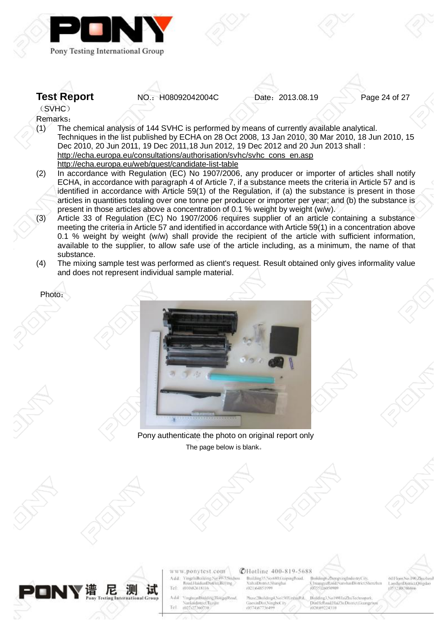

**Test Report NO.: H08092042004C** Date: 2013.08.19 Page 24 of 27

(SVHC) Remarks:

- (1) The chemical analysis of 144 SVHC is performed by means of currently available analytical. Techniques in the list published by ECHA on 28 Oct 2008, 13 Jan 2010, 30 Mar 2010, 18 Jun 2010, 15 Dec 2010, 20 Jun 2011, 19 Dec 2011,18 Jun 2012, 19 Dec 2012 and 20 Jun 2013 shall : [http://echa.europa.eu/consultations/authorisation/svhc/svhc\\_cons\\_en.asp](http://echa.europa.eu/consultations/authorisation/svhc/svhc_cons_en.asp) <http://echa.europa.eu/web/guest/candidate-list-table>
- (2) In accordance with Regulation (EC) No 1907/2006, any producer or importer of articles shall notify ECHA, in accordance with paragraph 4 of Article 7, if a substance meets the criteria in Article 57 and is identified in accordance with Article 59(1) of the Regulation, if (a) the substance is present in those articles in quantities totaling over one tonne per producer or importer per year; and (b) the substance is present in those articles above a concentration of 0.1 % weight by weight (w/w).
- (3) Article 33 of Regulation (EC) No 1907/2006 requires supplier of an article containing a substance meeting the criteria in Article 57 and identified in accordance with Article 59(1) in a concentration above 0.1 % weight by weight (w/w) shall provide the recipient of the article with sufficient information, available to the supplier, to allow safe use of the article including, as a minimum, the name of that substance.
- (4) The mixing sample test was performed as client's request. Result obtained only gives informality value and does not represent individual sample material.

Photo:



Pony authenticate the photo on original report only The page below is blank。





www.ponytest.com mychiBoilding.Net49-35 Add: Road HaidianDistrict Belling Tel (010)82618116

ingluanBinkling.HongqiRoad A did skaidistrict.Turg 022127360730  $T_{\rm eff}$ 

#### **CHotline 400-819-5688**

Building35,No.680.GuipingRoad **XuhaiDismst Shanghai** (021)64851999

hase2Building4,No150XinhiuRd, Building3, No 189 IuiZhuTec Prosecutoringhy, North<br>GaoxinDist, NingboCity<br>(0574367736499 DinHelboad Hai2h: Dismet Lie (020)89224310

o-Road No shanDistrict Sh **COSSONIONING** 

el-Floar.No.190.Zhuzhaul LanshanDistrict/Omedac **ISS? AN TRANS**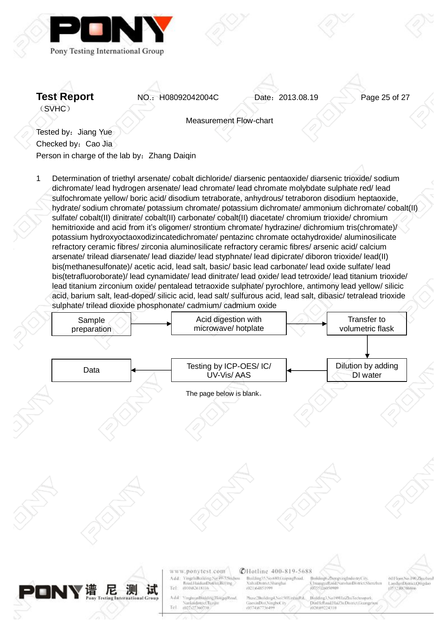

**Test Report NO.: H08092042004C** Date: 2013.08.19 Page 25 of 27

Measurement Flow-chart

Tested by: Jiang Yue Checked by: Cao Jia Person in charge of the lab by: Zhang Daigin

1 Determination of triethyl arsenate/ cobalt dichloride/ diarsenic pentaoxide/ diarsenic trioxide/ sodium dichromate/ lead hydrogen arsenate/ lead chromate/ lead chromate molybdate sulphate red/ lead sulfochromate yellow/ boric acid/ disodium tetraborate, anhydrous/ tetraboron disodium heptaoxide, hydrate/ sodium chromate/ potassium chromate/ potassium dichromate/ ammonium dichromate/ cobalt(II) sulfate/ cobalt(II) dinitrate/ cobalt(II) carbonate/ cobalt(II) diacetate/ chromium trioxide/ chromium hemitrioxide and acid from it's oligomer/ strontium chromate/ hydrazine/ dichromium tris(chromate)/ potassium hydroxyoctaoxodizincatedichromate/ pentazinc chromate octahydroxide/ aluminosilicate refractory ceramic fibres/ zirconia aluminosilicate refractory ceramic fibres/ arsenic acid/ calcium arsenate/ trilead diarsenate/ lead diazide/ lead styphnate/ lead dipicrate/ diboron trioxide/ lead(II) bis(methanesulfonate)/ acetic acid, lead salt, basic/ basic lead carbonate/ lead oxide sulfate/ lead bis(tetrafluoroborate)/ lead cynamidate/ lead dinitrate/ lead oxide/ lead tetroxide/ lead titanium trioxide/ lead titanium zirconium oxide/ pentalead tetraoxide sulphate/ pyrochlore, antimony lead yellow/ silicic acid, barium salt, lead-doped/ silicic acid, lead salt/ sulfurous acid, lead salt, dibasic/ tetralead trioxide sulphate/ trilead dioxide phosphonate/ cadmium/ cadmium oxide

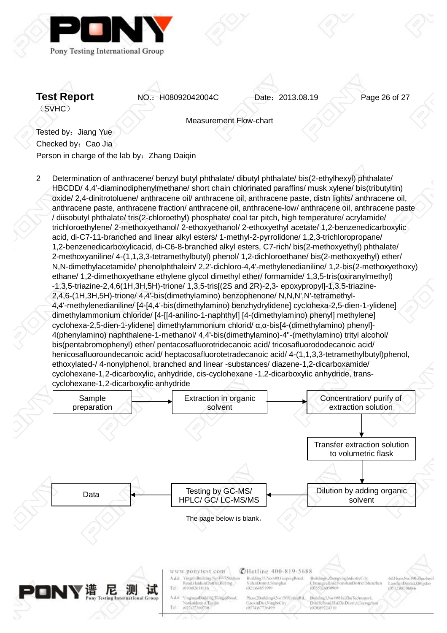

**Test Report NO.: H08092042004C** Date: 2013.08.19 Page 26 of 27

Measurement Flow-chart

Tested by: Jiang Yue Checked by: Cao Jia Person in charge of the lab by: Zhang Daigin

2 Determination of anthracene/ benzyl butyl phthalate/ dibutyl phthalate/ bis(2-ethylhexyl) phthalate/ HBCDD/ 4,4'-diaminodiphenylmethane/ short chain chlorinated paraffins/ musk xylene/ bis(tributyltin) oxide/ 2,4-dinitrotoluene/ anthracene oil/ anthracene oil, anthracene paste, distn lights/ anthracene oil, anthracene paste, anthracene fraction/ anthracene oil, anthracene-low/ anthracene oil, anthracene paste / diisobutyl phthalate/ tris(2-chloroethyl) phosphate/ coal tar pitch, high temperature/ acrylamide/ trichloroethylene/ 2-methoxyethanol/ 2-ethoxyethanol/ 2-ethoxyethyl acetate/ 1,2-benzenedicarboxylic acid, di-C7-11-branched and linear alkyl esters/ 1-methyl-2-pyrrolidone/ 1,2,3-trichloropropane/ 1,2-benzenedicarboxylicacid, di-C6-8-branched alkyl esters, C7-rich/ bis(2-methoxyethyl) phthalate/ 2-methoxyaniline/ 4-(1,1,3,3-tetramethylbutyl) phenol/ 1,2-dichloroethane/ bis(2-methoxyethyl) ether/ N,N-dimethylacetamide/ phenolphthalein/ 2,2'-dichloro-4,4'-methylenedianiline/ 1,2-bis(2-methoxyethoxy) ethane/ 1,2-dimethoxyethane ethylene glycol dimethyl ether/ formamide/ 1,3,5-tris(oxiranylmethyl) -1,3,5-triazine-2,4,6(1H,3H,5H)-trione/ 1,3,5-tris[(2S and 2R)-2,3- epoxypropyl]-1,3,5-triazine-2,4,6-(1H,3H,5H)-trione/ 4,4'-bis(dimethylamino) benzophenone/ N,N,N',N'-tetramethyl-4,4'-methylenedianiline/ [4-[4,4'-bis(dimethylamino) benzhydrylidene] cyclohexa-2,5-dien-1-ylidene] dimethylammonium chloride/ [4-[[4-anilino-1-naphthyl] [4-(dimethylamino) phenyl] methylene] cyclohexa-2,5-dien-1-ylidene] dimethylammonium chlorid/ α,α-bis[4-(dimethylamino) phenyl]- 4(phenylamino) naphthalene-1-methanol/ 4,4'-bis(dimethylamino)-4''-(methylamino) trityl alcohol/ bis(pentabromophenyl) ether/ pentacosafluorotridecanoic acid/ tricosafluorododecanoic acid/ henicosafluoroundecanoic acid/ heptacosafluorotetradecanoic acid/ 4-(1,1,3,3-tetramethylbutyl)phenol, ethoxylated-/ 4-nonylphenol, branched and linear -substances/ diazene-1,2-dicarboxamide/ cyclohexane-1,2-dicarboxylic, anhydride, cis-cyclohexane -1,2-dicarboxylic anhydride, transcyclohexane-1,2-dicarboxylic anhydride